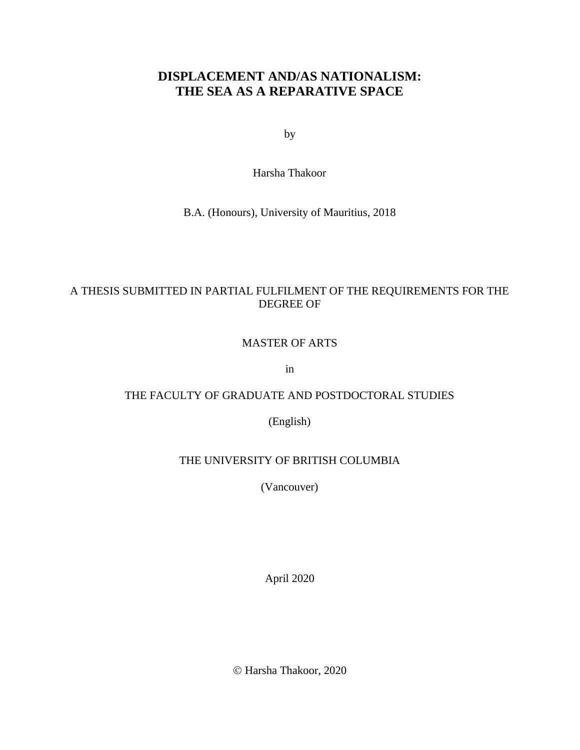# **DISPLACEMENT AND/AS NATIONALISM: THE SEA AS A REPARATIVE SPACE**

by

Harsha Thakoor

B.A. (Honours), University of Mauritius, 2018

# A THESIS SUBMITTED IN PARTIAL FULFILMENT OF THE REQUIREMENTS FOR THE DEGREE OF

## MASTER OF ARTS

in

# THE FACULTY OF GRADUATE AND POSTDOCTORAL STUDIES

(English)

# THE UNIVERSITY OF BRITISH COLUMBIA

(Vancouver)

April 2020

© Harsha Thakoor, 2020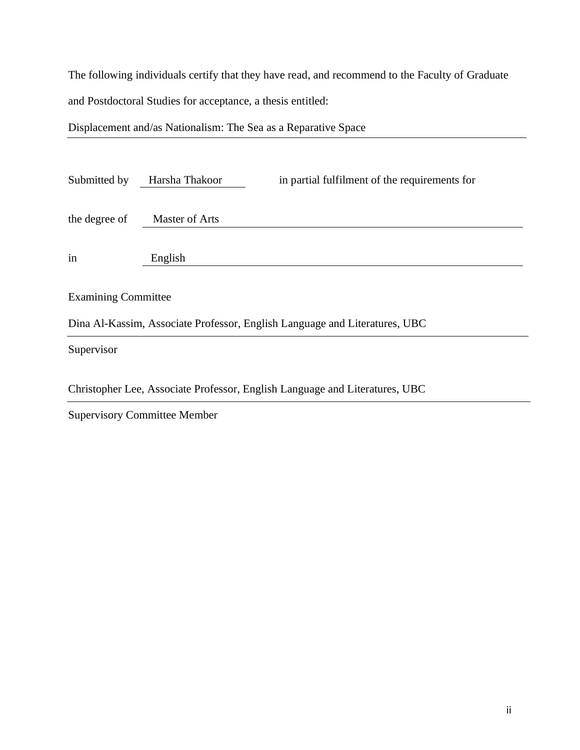The following individuals certify that they have read, and recommend to the Faculty of Graduate and Postdoctoral Studies for acceptance, a thesis entitled:

Displacement and/as Nationalism: The Sea as a Reparative Space

| Submitted by                                                               | Harsha Thakoor | in partial fulfilment of the requirements for |  |
|----------------------------------------------------------------------------|----------------|-----------------------------------------------|--|
| the degree of                                                              | Master of Arts |                                               |  |
| in                                                                         | English        |                                               |  |
| <b>Examining Committee</b>                                                 |                |                                               |  |
| Dina Al-Kassim, Associate Professor, English Language and Literatures, UBC |                |                                               |  |
|                                                                            |                |                                               |  |

Supervisor

Christopher Lee, Associate Professor, English Language and Literatures, UBC

Supervisory Committee Member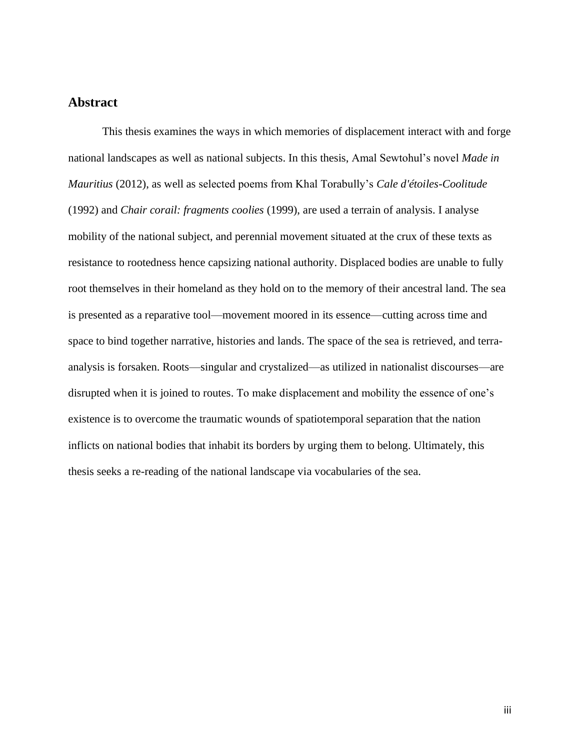# **Abstract**

This thesis examines the ways in which memories of displacement interact with and forge national landscapes as well as national subjects. In this thesis, Amal Sewtohul's novel *Made in Mauritius* (2012), as well as selected poems from Khal Torabully's *Cale d'étoiles-Coolitude* (1992) and *Chair corail: fragments coolies* (1999), are used a terrain of analysis. I analyse mobility of the national subject, and perennial movement situated at the crux of these texts as resistance to rootedness hence capsizing national authority. Displaced bodies are unable to fully root themselves in their homeland as they hold on to the memory of their ancestral land. The sea is presented as a reparative tool—movement moored in its essence—cutting across time and space to bind together narrative, histories and lands. The space of the sea is retrieved, and terraanalysis is forsaken. Roots—singular and crystalized—as utilized in nationalist discourses—are disrupted when it is joined to routes. To make displacement and mobility the essence of one's existence is to overcome the traumatic wounds of spatiotemporal separation that the nation inflicts on national bodies that inhabit its borders by urging them to belong. Ultimately, this thesis seeks a re-reading of the national landscape via vocabularies of the sea.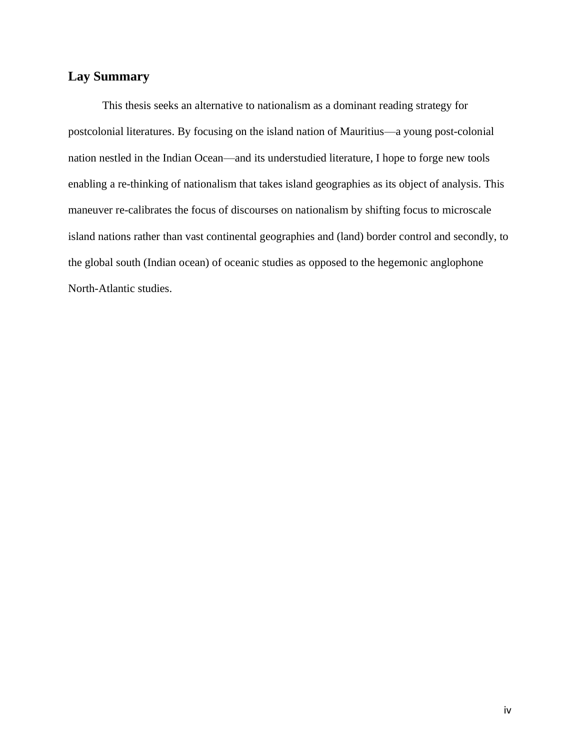# **Lay Summary**

This thesis seeks an alternative to nationalism as a dominant reading strategy for postcolonial literatures. By focusing on the island nation of Mauritius—a young post-colonial nation nestled in the Indian Ocean—and its understudied literature, I hope to forge new tools enabling a re-thinking of nationalism that takes island geographies as its object of analysis. This maneuver re-calibrates the focus of discourses on nationalism by shifting focus to microscale island nations rather than vast continental geographies and (land) border control and secondly, to the global south (Indian ocean) of oceanic studies as opposed to the hegemonic anglophone North-Atlantic studies.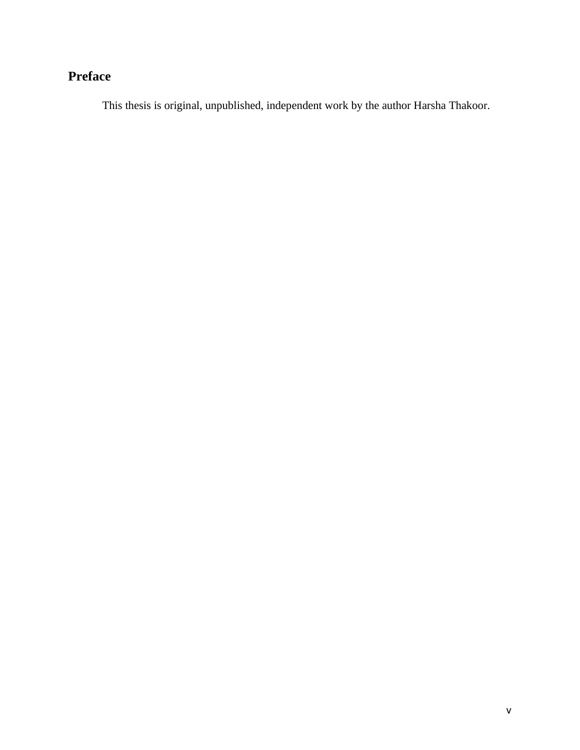# **Preface**

This thesis is original, unpublished, independent work by the author Harsha Thakoor.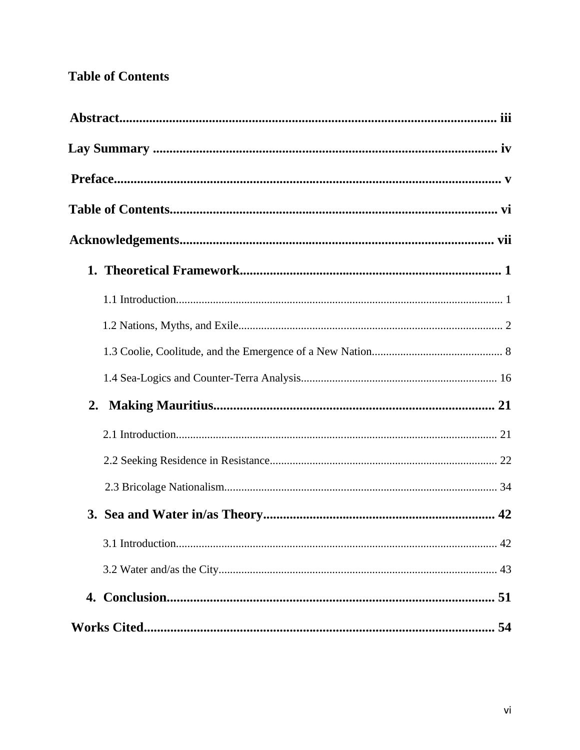# **Table of Contents**

| 2. |  |
|----|--|
|    |  |
|    |  |
|    |  |
|    |  |
|    |  |
|    |  |
|    |  |
|    |  |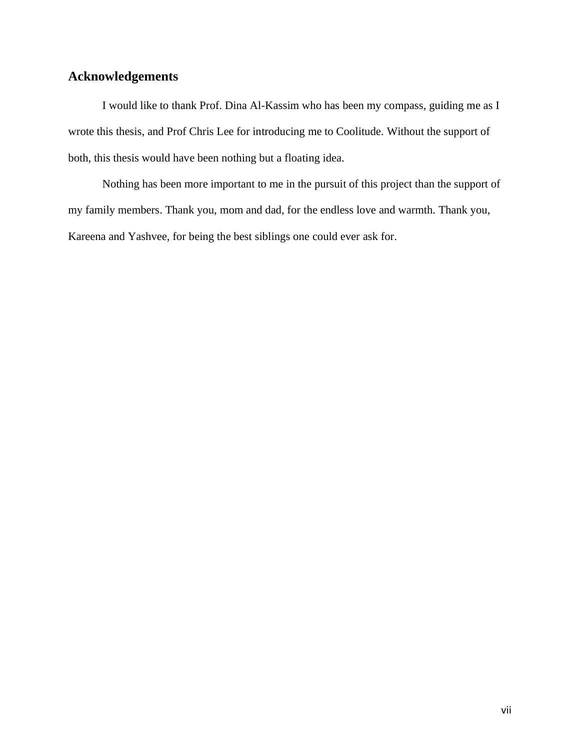# **Acknowledgements**

I would like to thank Prof. Dina Al-Kassim who has been my compass, guiding me as I wrote this thesis, and Prof Chris Lee for introducing me to Coolitude. Without the support of both, this thesis would have been nothing but a floating idea.

Nothing has been more important to me in the pursuit of this project than the support of my family members. Thank you, mom and dad, for the endless love and warmth. Thank you, Kareena and Yashvee, for being the best siblings one could ever ask for.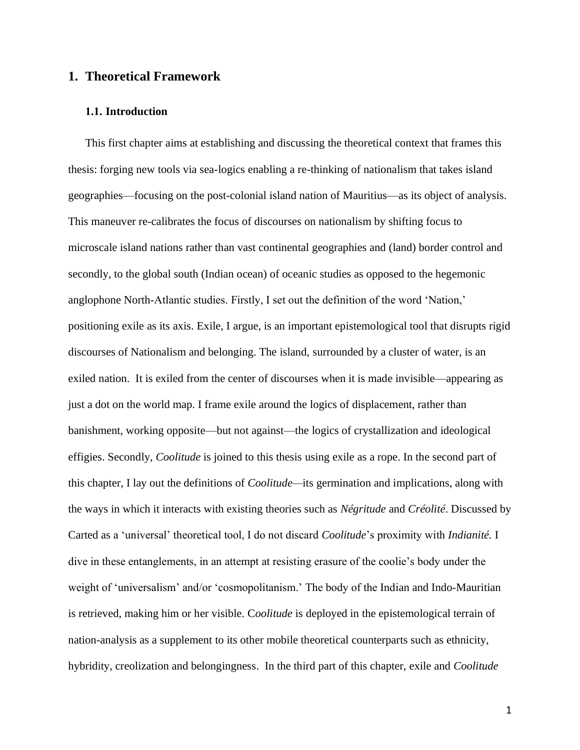# **1. Theoretical Framework**

#### **1.1. Introduction**

This first chapter aims at establishing and discussing the theoretical context that frames this thesis: forging new tools via sea-logics enabling a re-thinking of nationalism that takes island geographies—focusing on the post-colonial island nation of Mauritius—as its object of analysis. This maneuver re-calibrates the focus of discourses on nationalism by shifting focus to microscale island nations rather than vast continental geographies and (land) border control and secondly, to the global south (Indian ocean) of oceanic studies as opposed to the hegemonic anglophone North-Atlantic studies. Firstly, I set out the definition of the word 'Nation,' positioning exile as its axis. Exile, I argue, is an important epistemological tool that disrupts rigid discourses of Nationalism and belonging. The island, surrounded by a cluster of water, is an exiled nation. It is exiled from the center of discourses when it is made invisible—appearing as just a dot on the world map. I frame exile around the logics of displacement, rather than banishment, working opposite—but not against—the logics of crystallization and ideological effigies. Secondly, *Coolitude* is joined to this thesis using exile as a rope. In the second part of this chapter, I lay out the definitions of *Coolitude—*its germination and implications, along with the ways in which it interacts with existing theories such as *Négritude* and *Créolité*. Discussed by Carted as a 'universal' theoretical tool, I do not discard *Coolitude*'s proximity with *Indianité.* I dive in these entanglements, in an attempt at resisting erasure of the coolie's body under the weight of 'universalism' and/or 'cosmopolitanism.' The body of the Indian and Indo-Mauritian is retrieved, making him or her visible. C*oolitude* is deployed in the epistemological terrain of nation-analysis as a supplement to its other mobile theoretical counterparts such as ethnicity, hybridity, creolization and belongingness. In the third part of this chapter, exile and *Coolitude*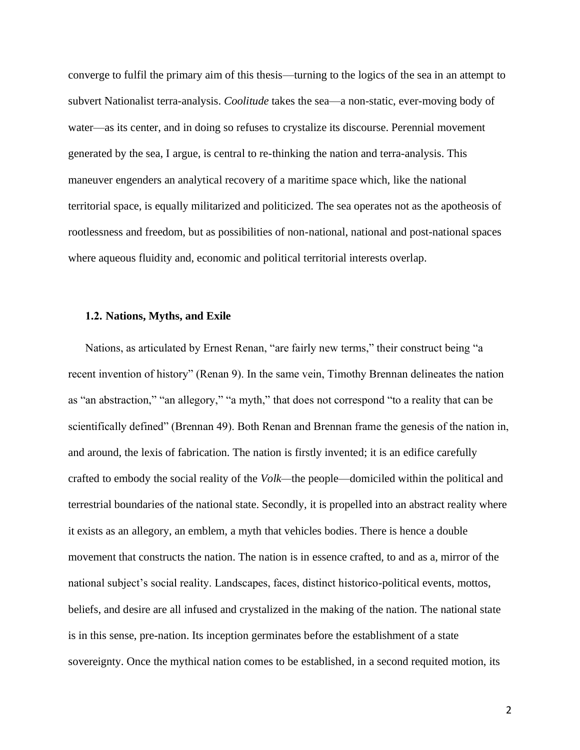converge to fulfil the primary aim of this thesis—turning to the logics of the sea in an attempt to subvert Nationalist terra-analysis. *Coolitude* takes the sea—a non-static, ever-moving body of water—as its center, and in doing so refuses to crystalize its discourse. Perennial movement generated by the sea, I argue, is central to re-thinking the nation and terra-analysis. This maneuver engenders an analytical recovery of a maritime space which, like the national territorial space, is equally militarized and politicized. The sea operates not as the apotheosis of rootlessness and freedom, but as possibilities of non-national, national and post-national spaces where aqueous fluidity and, economic and political territorial interests overlap.

#### **1.2. Nations, Myths, and Exile**

Nations, as articulated by Ernest Renan, "are fairly new terms," their construct being "a recent invention of history" (Renan 9). In the same vein, Timothy Brennan delineates the nation as "an abstraction," "an allegory," "a myth," that does not correspond "to a reality that can be scientifically defined" (Brennan 49). Both Renan and Brennan frame the genesis of the nation in, and around, the lexis of fabrication. The nation is firstly invented; it is an edifice carefully crafted to embody the social reality of the *Volk—*the people—domiciled within the political and terrestrial boundaries of the national state. Secondly, it is propelled into an abstract reality where it exists as an allegory, an emblem, a myth that vehicles bodies. There is hence a double movement that constructs the nation. The nation is in essence crafted, to and as a, mirror of the national subject's social reality. Landscapes, faces, distinct historico-political events, mottos, beliefs, and desire are all infused and crystalized in the making of the nation. The national state is in this sense, pre-nation. Its inception germinates before the establishment of a state sovereignty. Once the mythical nation comes to be established, in a second requited motion, its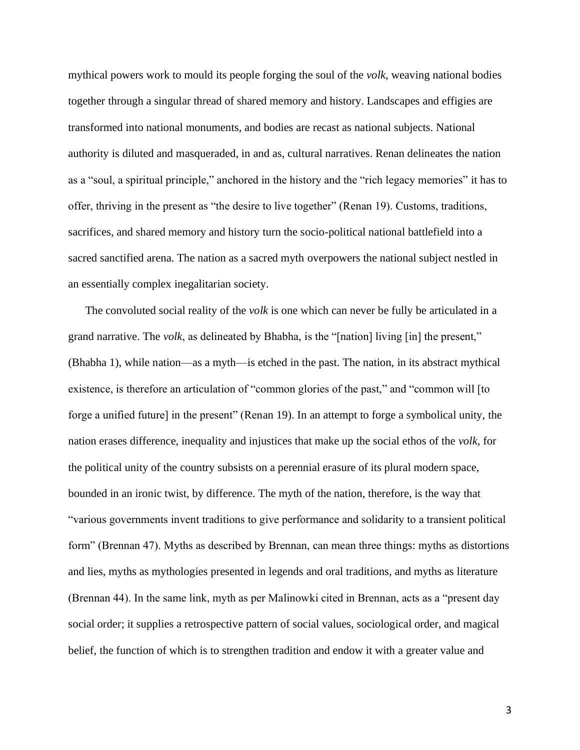mythical powers work to mould its people forging the soul of the *volk*, weaving national bodies together through a singular thread of shared memory and history. Landscapes and effigies are transformed into national monuments, and bodies are recast as national subjects. National authority is diluted and masqueraded, in and as, cultural narratives. Renan delineates the nation as a "soul, a spiritual principle," anchored in the history and the "rich legacy memories" it has to offer, thriving in the present as "the desire to live together" (Renan 19). Customs, traditions, sacrifices, and shared memory and history turn the socio-political national battlefield into a sacred sanctified arena. The nation as a sacred myth overpowers the national subject nestled in an essentially complex inegalitarian society.

The convoluted social reality of the *volk* is one which can never be fully be articulated in a grand narrative. The *volk*, as delineated by Bhabha, is the "[nation] living [in] the present," (Bhabha 1), while nation—as a myth—is etched in the past. The nation, in its abstract mythical existence, is therefore an articulation of "common glories of the past," and "common will [to forge a unified future] in the present" (Renan 19). In an attempt to forge a symbolical unity, the nation erases difference, inequality and injustices that make up the social ethos of the *volk*, for the political unity of the country subsists on a perennial erasure of its plural modern space, bounded in an ironic twist, by difference. The myth of the nation, therefore, is the way that "various governments invent traditions to give performance and solidarity to a transient political form" (Brennan 47). Myths as described by Brennan, can mean three things: myths as distortions and lies, myths as mythologies presented in legends and oral traditions, and myths as literature (Brennan 44). In the same link, myth as per Malinowki cited in Brennan, acts as a "present day social order; it supplies a retrospective pattern of social values, sociological order, and magical belief, the function of which is to strengthen tradition and endow it with a greater value and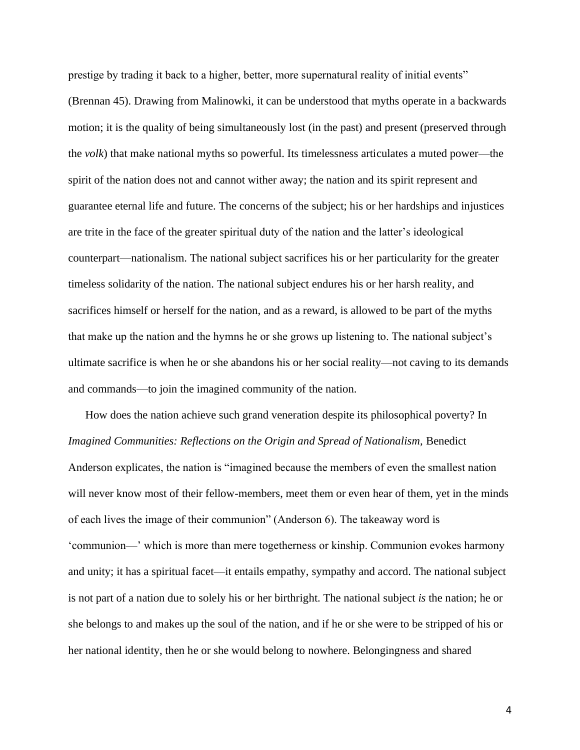prestige by trading it back to a higher, better, more supernatural reality of initial events" (Brennan 45). Drawing from Malinowki, it can be understood that myths operate in a backwards motion; it is the quality of being simultaneously lost (in the past) and present (preserved through the *volk*) that make national myths so powerful. Its timelessness articulates a muted power—the spirit of the nation does not and cannot wither away; the nation and its spirit represent and guarantee eternal life and future. The concerns of the subject; his or her hardships and injustices are trite in the face of the greater spiritual duty of the nation and the latter's ideological counterpart—nationalism. The national subject sacrifices his or her particularity for the greater timeless solidarity of the nation. The national subject endures his or her harsh reality, and sacrifices himself or herself for the nation, and as a reward, is allowed to be part of the myths that make up the nation and the hymns he or she grows up listening to. The national subject's ultimate sacrifice is when he or she abandons his or her social reality—not caving to its demands and commands—to join the imagined community of the nation.

How does the nation achieve such grand veneration despite its philosophical poverty? In *Imagined Communities: Reflections on the Origin and Spread of Nationalism, Benedict* Anderson explicates, the nation is "imagined because the members of even the smallest nation will never know most of their fellow-members, meet them or even hear of them, yet in the minds of each lives the image of their communion" (Anderson 6). The takeaway word is 'communion—' which is more than mere togetherness or kinship. Communion evokes harmony and unity; it has a spiritual facet—it entails empathy, sympathy and accord. The national subject is not part of a nation due to solely his or her birthright. The national subject *is* the nation; he or she belongs to and makes up the soul of the nation, and if he or she were to be stripped of his or her national identity, then he or she would belong to nowhere. Belongingness and shared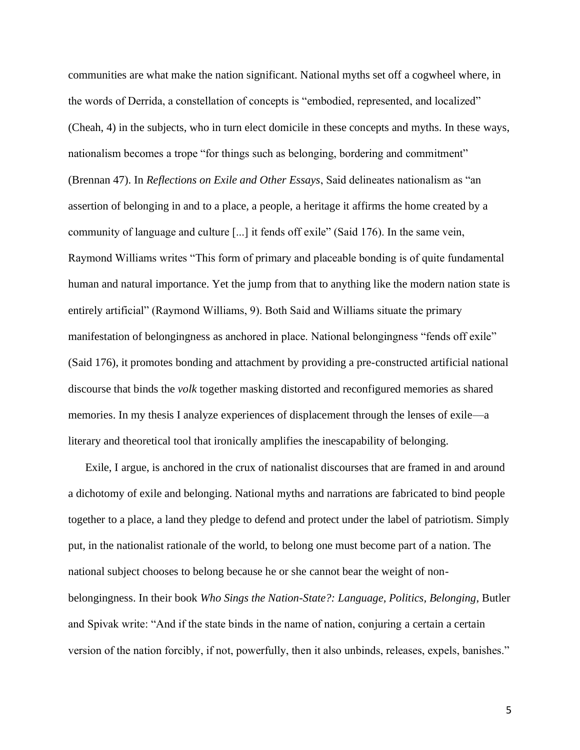communities are what make the nation significant. National myths set off a cogwheel where, in the words of Derrida, a constellation of concepts is "embodied, represented, and localized" (Cheah, 4) in the subjects, who in turn elect domicile in these concepts and myths. In these ways, nationalism becomes a trope "for things such as belonging, bordering and commitment" (Brennan 47). In *Reflections on Exile and Other Essays*, Said delineates nationalism as "an assertion of belonging in and to a place, a people, a heritage it affirms the home created by a community of language and culture [...] it fends off exile" (Said 176). In the same vein, Raymond Williams writes "This form of primary and placeable bonding is of quite fundamental human and natural importance. Yet the jump from that to anything like the modern nation state is entirely artificial" (Raymond Williams, 9). Both Said and Williams situate the primary manifestation of belongingness as anchored in place. National belongingness "fends off exile" (Said 176), it promotes bonding and attachment by providing a pre-constructed artificial national discourse that binds the *volk* together masking distorted and reconfigured memories as shared memories. In my thesis I analyze experiences of displacement through the lenses of exile—a literary and theoretical tool that ironically amplifies the inescapability of belonging.

Exile, I argue, is anchored in the crux of nationalist discourses that are framed in and around a dichotomy of exile and belonging. National myths and narrations are fabricated to bind people together to a place, a land they pledge to defend and protect under the label of patriotism. Simply put, in the nationalist rationale of the world, to belong one must become part of a nation. The national subject chooses to belong because he or she cannot bear the weight of nonbelongingness. In their book *Who Sings the Nation-State?: Language, Politics, Belonging*, Butler and Spivak write: "And if the state binds in the name of nation, conjuring a certain a certain version of the nation forcibly, if not, powerfully, then it also unbinds, releases, expels, banishes."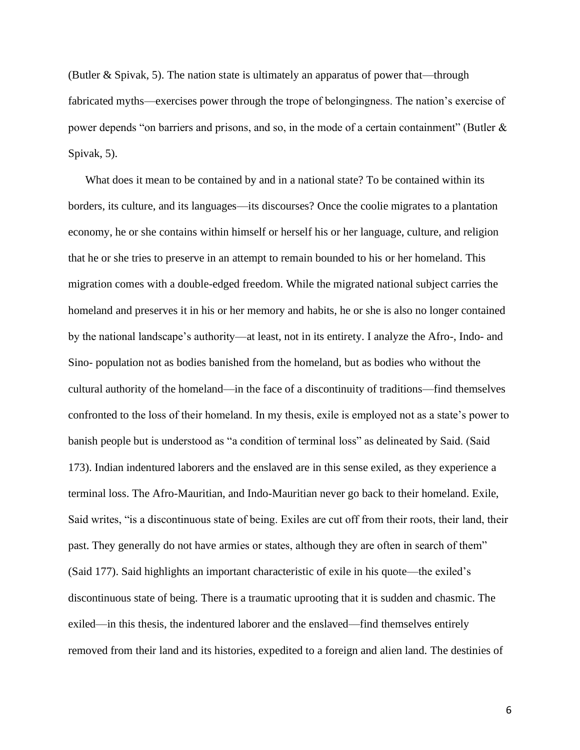(Butler & Spivak, 5). The nation state is ultimately an apparatus of power that—through fabricated myths—exercises power through the trope of belongingness. The nation's exercise of power depends "on barriers and prisons, and so, in the mode of a certain containment" (Butler & Spivak, 5).

What does it mean to be contained by and in a national state? To be contained within its borders, its culture, and its languages—its discourses? Once the coolie migrates to a plantation economy, he or she contains within himself or herself his or her language, culture, and religion that he or she tries to preserve in an attempt to remain bounded to his or her homeland. This migration comes with a double-edged freedom. While the migrated national subject carries the homeland and preserves it in his or her memory and habits, he or she is also no longer contained by the national landscape's authority—at least, not in its entirety. I analyze the Afro-, Indo- and Sino- population not as bodies banished from the homeland, but as bodies who without the cultural authority of the homeland—in the face of a discontinuity of traditions—find themselves confronted to the loss of their homeland. In my thesis, exile is employed not as a state's power to banish people but is understood as "a condition of terminal loss" as delineated by Said. (Said 173). Indian indentured laborers and the enslaved are in this sense exiled, as they experience a terminal loss. The Afro-Mauritian, and Indo-Mauritian never go back to their homeland. Exile, Said writes, "is a discontinuous state of being. Exiles are cut off from their roots, their land, their past. They generally do not have armies or states, although they are often in search of them" (Said 177). Said highlights an important characteristic of exile in his quote—the exiled's discontinuous state of being. There is a traumatic uprooting that it is sudden and chasmic. The exiled—in this thesis, the indentured laborer and the enslaved—find themselves entirely removed from their land and its histories, expedited to a foreign and alien land. The destinies of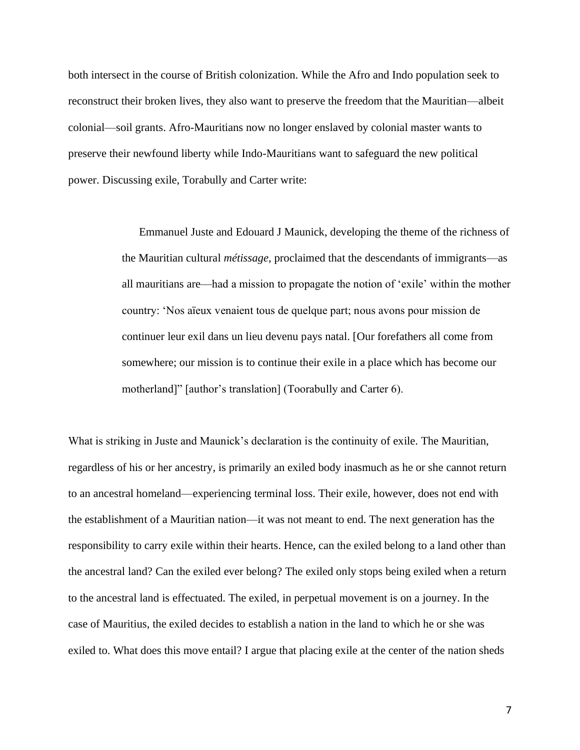both intersect in the course of British colonization. While the Afro and Indo population seek to reconstruct their broken lives, they also want to preserve the freedom that the Mauritian—albeit colonial—soil grants. Afro-Mauritians now no longer enslaved by colonial master wants to preserve their newfound liberty while Indo-Mauritians want to safeguard the new political power. Discussing exile, Torabully and Carter write:

> Emmanuel Juste and Edouard J Maunick, developing the theme of the richness of the Mauritian cultural *métissage*, proclaimed that the descendants of immigrants—as all mauritians are—had a mission to propagate the notion of 'exile' within the mother country: 'Nos aïeux venaient tous de quelque part; nous avons pour mission de continuer leur exil dans un lieu devenu pays natal. [Our forefathers all come from somewhere; our mission is to continue their exile in a place which has become our motherland]" [author's translation] (Toorabully and Carter 6).

What is striking in Juste and Maunick's declaration is the continuity of exile. The Mauritian, regardless of his or her ancestry, is primarily an exiled body inasmuch as he or she cannot return to an ancestral homeland—experiencing terminal loss. Their exile, however, does not end with the establishment of a Mauritian nation—it was not meant to end. The next generation has the responsibility to carry exile within their hearts. Hence, can the exiled belong to a land other than the ancestral land? Can the exiled ever belong? The exiled only stops being exiled when a return to the ancestral land is effectuated. The exiled, in perpetual movement is on a journey. In the case of Mauritius, the exiled decides to establish a nation in the land to which he or she was exiled to. What does this move entail? I argue that placing exile at the center of the nation sheds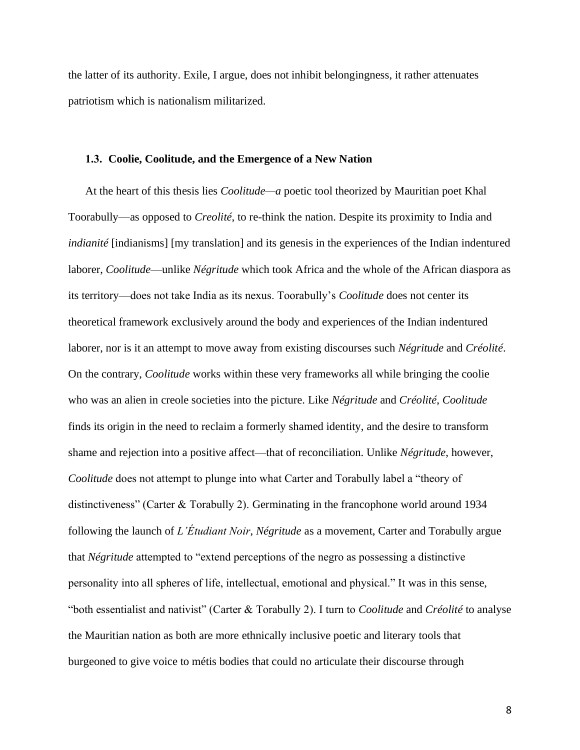the latter of its authority. Exile, I argue, does not inhibit belongingness, it rather attenuates patriotism which is nationalism militarized.

#### **1.3. Coolie, Coolitude, and the Emergence of a New Nation**

At the heart of this thesis lies *Coolitude—a* poetic tool theorized by Mauritian poet Khal Toorabully—as opposed to *Creolité*, to re-think the nation. Despite its proximity to India and *indianité* [indianisms] [my translation] and its genesis in the experiences of the Indian indentured laborer, *Coolitude*—unlike *Négritude* which took Africa and the whole of the African diaspora as its territory—does not take India as its nexus. Toorabully's *Coolitude* does not center its theoretical framework exclusively around the body and experiences of the Indian indentured laborer, nor is it an attempt to move away from existing discourses such *Négritude* and *Créolité*. On the contrary, *Coolitude* works within these very frameworks all while bringing the coolie who was an alien in creole societies into the picture. Like *Négritude* and *Créolité*, *Coolitude*  finds its origin in the need to reclaim a formerly shamed identity, and the desire to transform shame and rejection into a positive affect—that of reconciliation. Unlike *Négritude*, however, *Coolitude* does not attempt to plunge into what Carter and Torabully label a "theory of distinctiveness" (Carter & Torabully 2). Germinating in the francophone world around 1934 following the launch of *L'Étudiant Noir*, *Négritude* as a movement, Carter and Torabully argue that *Négritude* attempted to "extend perceptions of the negro as possessing a distinctive personality into all spheres of life, intellectual, emotional and physical." It was in this sense, "both essentialist and nativist" (Carter & Torabully 2). I turn to *Coolitude* and *Créolité* to analyse the Mauritian nation as both are more ethnically inclusive poetic and literary tools that burgeoned to give voice to métis bodies that could no articulate their discourse through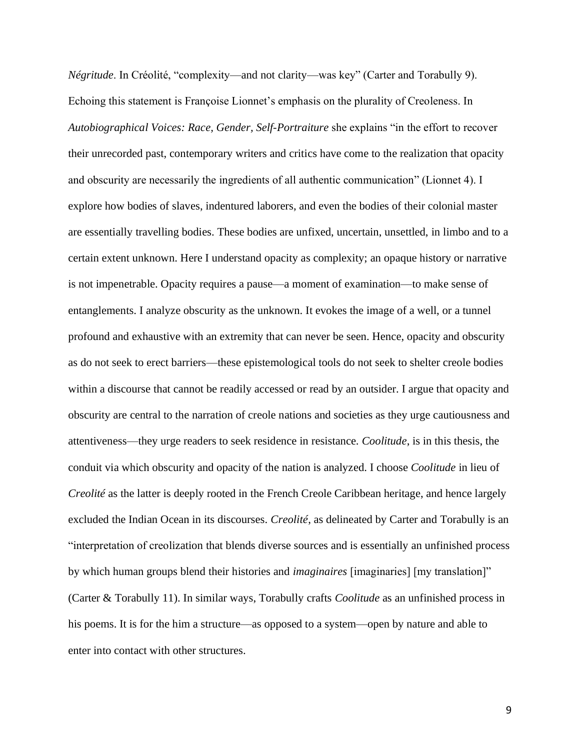*Négritude*. In Créolité, "complexity—and not clarity—was key" (Carter and Torabully 9). Echoing this statement is Françoise Lionnet's emphasis on the plurality of Creoleness. In *Autobiographical Voices: Race, Gender, Self-Portraiture* she explains "in the effort to recover their unrecorded past, contemporary writers and critics have come to the realization that opacity and obscurity are necessarily the ingredients of all authentic communication" (Lionnet 4). I explore how bodies of slaves, indentured laborers, and even the bodies of their colonial master are essentially travelling bodies. These bodies are unfixed, uncertain, unsettled, in limbo and to a certain extent unknown. Here I understand opacity as complexity; an opaque history or narrative is not impenetrable. Opacity requires a pause—a moment of examination—to make sense of entanglements. I analyze obscurity as the unknown. It evokes the image of a well, or a tunnel profound and exhaustive with an extremity that can never be seen. Hence, opacity and obscurity as do not seek to erect barriers—these epistemological tools do not seek to shelter creole bodies within a discourse that cannot be readily accessed or read by an outsider. I argue that opacity and obscurity are central to the narration of creole nations and societies as they urge cautiousness and attentiveness—they urge readers to seek residence in resistance. *Coolitude*, is in this thesis, the conduit via which obscurity and opacity of the nation is analyzed. I choose *Coolitude* in lieu of *Creolité* as the latter is deeply rooted in the French Creole Caribbean heritage, and hence largely excluded the Indian Ocean in its discourses. *Creolité*, as delineated by Carter and Torabully is an "interpretation of creolization that blends diverse sources and is essentially an unfinished process by which human groups blend their histories and *imaginaires* [imaginaries] [my translation]" (Carter & Torabully 11). In similar ways, Torabully crafts *Coolitude* as an unfinished process in his poems. It is for the him a structure—as opposed to a system—open by nature and able to enter into contact with other structures.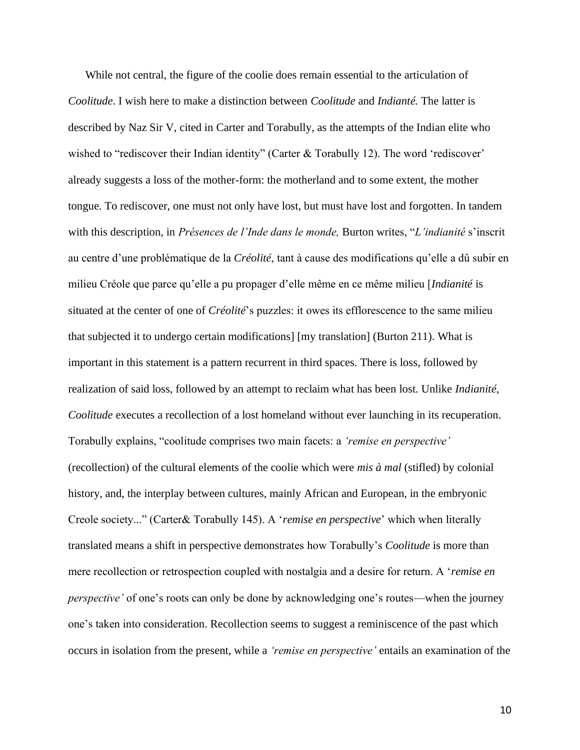While not central, the figure of the coolie does remain essential to the articulation of *Coolitude*. I wish here to make a distinction between *Coolitude* and *Indianté.* The latter is described by Naz Sir V, cited in Carter and Torabully, as the attempts of the Indian elite who wished to "rediscover their Indian identity" (Carter & Torabully 12). The word 'rediscover' already suggests a loss of the mother-form: the motherland and to some extent, the mother tongue. To rediscover, one must not only have lost, but must have lost and forgotten. In tandem with this description, in *Présences de l'Inde dans le monde,* Burton writes, "*L'indianité* s'inscrit au centre d'une problématique de la *Créolité*, tant à cause des modifications qu'elle a dû subir en milieu Créole que parce qu'elle a pu propager d'elle même en ce même milieu [*Indianité* is situated at the center of one of *Créolité*'s puzzles: it owes its efflorescence to the same milieu that subjected it to undergo certain modifications] [my translation] (Burton 211). What is important in this statement is a pattern recurrent in third spaces. There is loss, followed by realization of said loss, followed by an attempt to reclaim what has been lost. Unlike *Indianité*, *Coolitude* executes a recollection of a lost homeland without ever launching in its recuperation. Torabully explains, "coolitude comprises two main facets: a *'remise en perspective'* (recollection) of the cultural elements of the coolie which were *mis à mal* (stifled) by colonial history, and, the interplay between cultures, mainly African and European, in the embryonic Creole society..." (Carter& Torabully 145). A '*remise en perspective*' which when literally translated means a shift in perspective demonstrates how Torabully's *Coolitude* is more than mere recollection or retrospection coupled with nostalgia and a desire for return. A '*remise en perspective'* of one's roots can only be done by acknowledging one's routes—when the journey one's taken into consideration. Recollection seems to suggest a reminiscence of the past which occurs in isolation from the present, while a *'remise en perspective'* entails an examination of the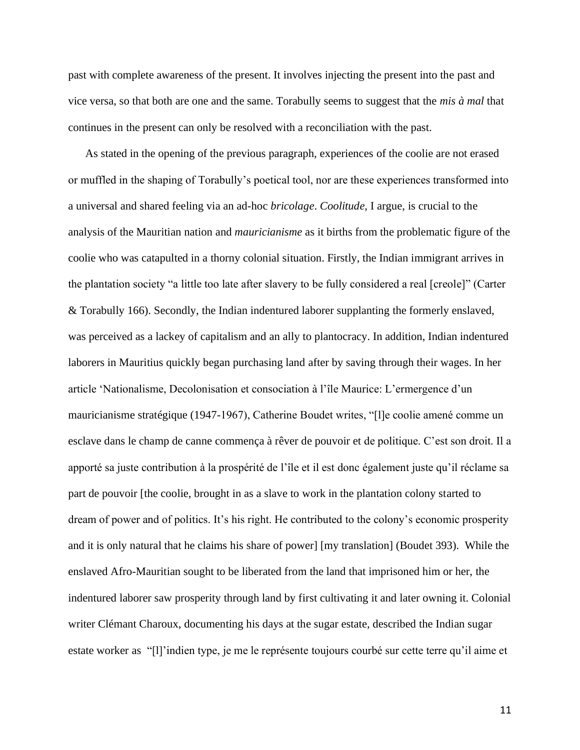past with complete awareness of the present. It involves injecting the present into the past and vice versa, so that both are one and the same. Torabully seems to suggest that the *mis à mal* that continues in the present can only be resolved with a reconciliation with the past.

As stated in the opening of the previous paragraph, experiences of the coolie are not erased or muffled in the shaping of Torabully's poetical tool, nor are these experiences transformed into a universal and shared feeling via an ad-hoc *bricolage*. *Coolitude*, I argue, is crucial to the analysis of the Mauritian nation and *mauricianisme* as it births from the problematic figure of the coolie who was catapulted in a thorny colonial situation. Firstly, the Indian immigrant arrives in the plantation society "a little too late after slavery to be fully considered a real [creole]" (Carter & Torabully 166). Secondly, the Indian indentured laborer supplanting the formerly enslaved, was perceived as a lackey of capitalism and an ally to plantocracy. In addition, Indian indentured laborers in Mauritius quickly began purchasing land after by saving through their wages. In her article 'Nationalisme, Decolonisation et consociation à l'île Maurice: L'ermergence d'un mauricianisme stratégique (1947-1967), Catherine Boudet writes, "[l]e coolie amené comme un esclave dans le champ de canne commença à rêver de pouvoir et de politique. C'est son droit. Il a apporté sa juste contribution à la prospérité de l'île et il est donc également juste qu'il réclame sa part de pouvoir [the coolie, brought in as a slave to work in the plantation colony started to dream of power and of politics. It's his right. He contributed to the colony's economic prosperity and it is only natural that he claims his share of power] [my translation] (Boudet 393). While the enslaved Afro-Mauritian sought to be liberated from the land that imprisoned him or her, the indentured laborer saw prosperity through land by first cultivating it and later owning it. Colonial writer Clémant Charoux, documenting his days at the sugar estate, described the Indian sugar estate worker as "[l]'indien type, je me le représente toujours courbé sur cette terre qu'il aime et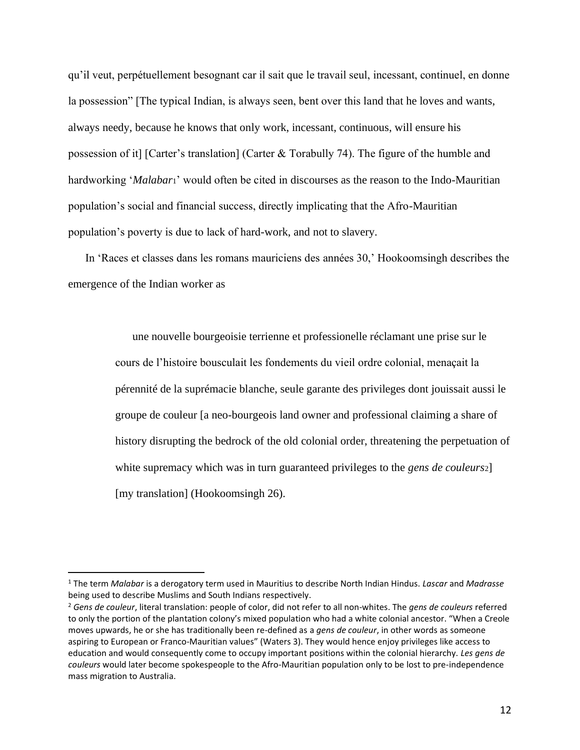qu'il veut, perpétuellement besognant car il sait que le travail seul, incessant, continuel, en donne la possession" [The typical Indian, is always seen, bent over this land that he loves and wants, always needy, because he knows that only work, incessant, continuous, will ensure his possession of it] [Carter's translation] (Carter & Torabully 74). The figure of the humble and hardworking '*Malabar*1' would often be cited in discourses as the reason to the Indo-Mauritian population's social and financial success, directly implicating that the Afro-Mauritian population's poverty is due to lack of hard-work, and not to slavery.

In 'Races et classes dans les romans mauriciens des années 30,' Hookoomsingh describes the emergence of the Indian worker as

> une nouvelle bourgeoisie terrienne et professionelle réclamant une prise sur le cours de l'histoire bousculait les fondements du vieil ordre colonial, menaçait la pérennité de la suprémacie blanche, seule garante des privileges dont jouissait aussi le groupe de couleur [a neo-bourgeois land owner and professional claiming a share of history disrupting the bedrock of the old colonial order, threatening the perpetuation of white supremacy which was in turn guaranteed privileges to the *gens de couleurs*2] [my translation] (Hookoomsingh 26).

<sup>1</sup> The term *Malabar* is a derogatory term used in Mauritius to describe North Indian Hindus. *Lascar* and *Madrasse* being used to describe Muslims and South Indians respectively.

<sup>2</sup> *Gens de couleur*, literal translation: people of color, did not refer to all non-whites. The *gens de couleurs* referred to only the portion of the plantation colony's mixed population who had a white colonial ancestor. "When a Creole moves upwards, he or she has traditionally been re-defined as a *gens de couleur*, in other words as someone aspiring to European or Franco-Mauritian values" (Waters 3). They would hence enjoy privileges like access to education and would consequently come to occupy important positions within the colonial hierarchy. *Les gens de couleurs* would later become spokespeople to the Afro-Mauritian population only to be lost to pre-independence mass migration to Australia.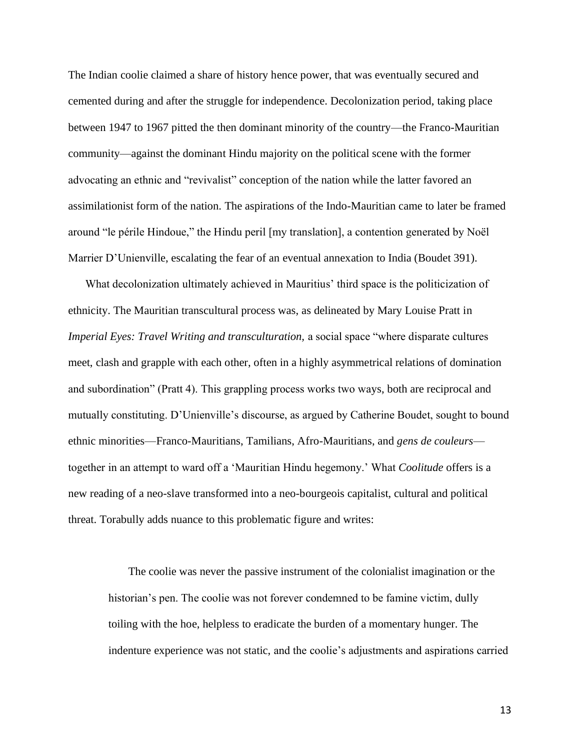The Indian coolie claimed a share of history hence power, that was eventually secured and cemented during and after the struggle for independence. Decolonization period, taking place between 1947 to 1967 pitted the then dominant minority of the country—the Franco-Mauritian community—against the dominant Hindu majority on the political scene with the former advocating an ethnic and "revivalist" conception of the nation while the latter favored an assimilationist form of the nation. The aspirations of the Indo-Mauritian came to later be framed around "le périle Hindoue," the Hindu peril [my translation], a contention generated by Noël Marrier D'Unienville, escalating the fear of an eventual annexation to India (Boudet 391).

What decolonization ultimately achieved in Mauritius' third space is the politicization of ethnicity. The Mauritian transcultural process was, as delineated by Mary Louise Pratt in *Imperial Eyes: Travel Writing and transculturation, a social space "where disparate cultures* meet, clash and grapple with each other, often in a highly asymmetrical relations of domination and subordination" (Pratt 4). This grappling process works two ways, both are reciprocal and mutually constituting. D'Unienville's discourse, as argued by Catherine Boudet, sought to bound ethnic minorities—Franco-Mauritians, Tamilians, Afro-Mauritians, and *gens de couleurs* together in an attempt to ward off a 'Mauritian Hindu hegemony.' What *Coolitude* offers is a new reading of a neo-slave transformed into a neo-bourgeois capitalist, cultural and political threat. Torabully adds nuance to this problematic figure and writes:

The coolie was never the passive instrument of the colonialist imagination or the historian's pen. The coolie was not forever condemned to be famine victim, dully toiling with the hoe, helpless to eradicate the burden of a momentary hunger. The indenture experience was not static, and the coolie's adjustments and aspirations carried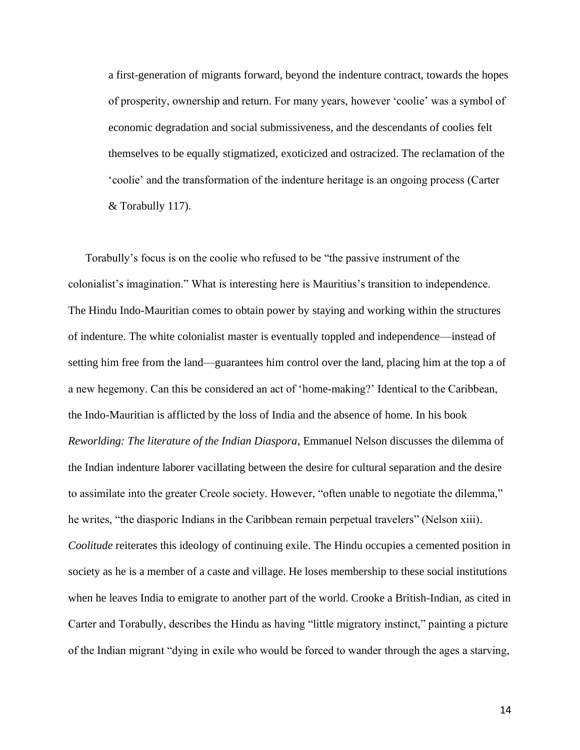a first-generation of migrants forward, beyond the indenture contract, towards the hopes of prosperity, ownership and return. For many years, however 'coolie' was a symbol of economic degradation and social submissiveness, and the descendants of coolies felt themselves to be equally stigmatized, exoticized and ostracized. The reclamation of the 'coolie' and the transformation of the indenture heritage is an ongoing process (Carter & Torabully 117).

Torabully's focus is on the coolie who refused to be "the passive instrument of the colonialist's imagination." What is interesting here is Mauritius's transition to independence. The Hindu Indo-Mauritian comes to obtain power by staying and working within the structures of indenture. The white colonialist master is eventually toppled and independence—instead of setting him free from the land—guarantees him control over the land, placing him at the top a of a new hegemony. Can this be considered an act of 'home-making?' Identical to the Caribbean, the Indo-Mauritian is afflicted by the loss of India and the absence of home. In his book *Reworlding: The literature of the Indian Diaspora*, Emmanuel Nelson discusses the dilemma of the Indian indenture laborer vacillating between the desire for cultural separation and the desire to assimilate into the greater Creole society. However, "often unable to negotiate the dilemma," he writes, "the diasporic Indians in the Caribbean remain perpetual travelers" (Nelson xiii). *Coolitude* reiterates this ideology of continuing exile. The Hindu occupies a cemented position in society as he is a member of a caste and village. He loses membership to these social institutions when he leaves India to emigrate to another part of the world. Crooke a British-Indian, as cited in Carter and Torabully, describes the Hindu as having "little migratory instinct," painting a picture of the Indian migrant "dying in exile who would be forced to wander through the ages a starving,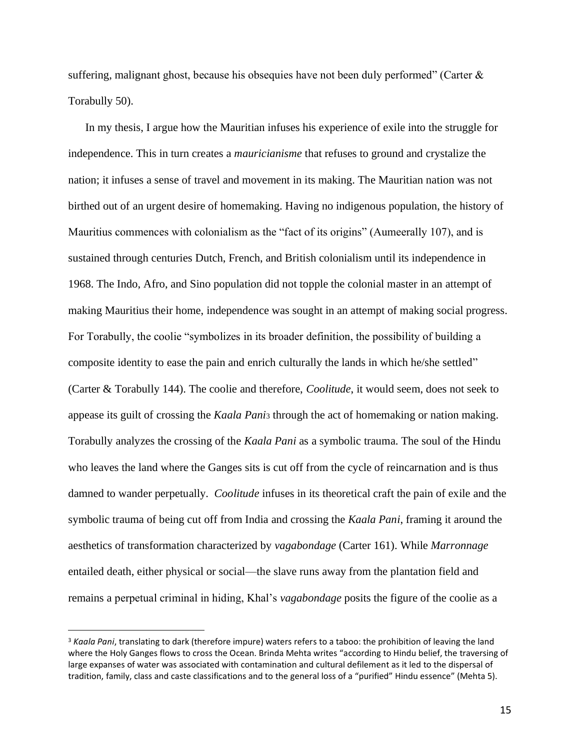suffering, malignant ghost, because his obsequies have not been duly performed" (Carter  $\&$ Torabully 50).

In my thesis, I argue how the Mauritian infuses his experience of exile into the struggle for independence. This in turn creates a *mauricianisme* that refuses to ground and crystalize the nation; it infuses a sense of travel and movement in its making. The Mauritian nation was not birthed out of an urgent desire of homemaking. Having no indigenous population, the history of Mauritius commences with colonialism as the "fact of its origins" (Aumeerally 107), and is sustained through centuries Dutch, French, and British colonialism until its independence in 1968. The Indo, Afro, and Sino population did not topple the colonial master in an attempt of making Mauritius their home, independence was sought in an attempt of making social progress. For Torabully, the coolie "symbolizes in its broader definition, the possibility of building a composite identity to ease the pain and enrich culturally the lands in which he/she settled" (Carter & Torabully 144). The coolie and therefore, *Coolitude*, it would seem, does not seek to appease its guilt of crossing the *Kaala Pani*<sup>3</sup> through the act of homemaking or nation making. Torabully analyzes the crossing of the *Kaala Pani* as a symbolic trauma. The soul of the Hindu who leaves the land where the Ganges sits is cut off from the cycle of reincarnation and is thus damned to wander perpetually. *Coolitude* infuses in its theoretical craft the pain of exile and the symbolic trauma of being cut off from India and crossing the *Kaala Pani*, framing it around the aesthetics of transformation characterized by *vagabondage* (Carter 161). While *Marronnage* entailed death, either physical or social—the slave runs away from the plantation field and remains a perpetual criminal in hiding, Khal's *vagabondage* posits the figure of the coolie as a

<sup>3</sup> *Kaala Pani*, translating to dark (therefore impure) waters refers to a taboo: the prohibition of leaving the land where the Holy Ganges flows to cross the Ocean. Brinda Mehta writes "according to Hindu belief, the traversing of large expanses of water was associated with contamination and cultural defilement as it led to the dispersal of tradition, family, class and caste classifications and to the general loss of a "purified" Hindu essence" (Mehta 5).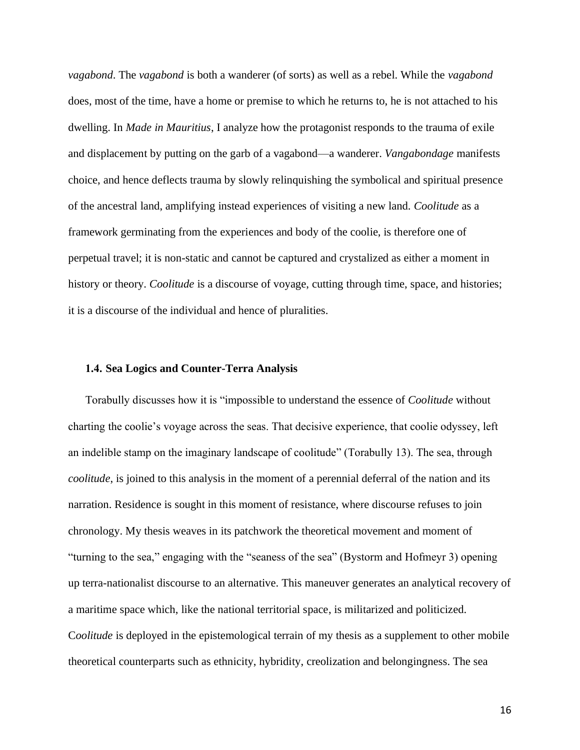*vagabond*. The *vagabond* is both a wanderer (of sorts) as well as a rebel. While the *vagabond* does, most of the time, have a home or premise to which he returns to, he is not attached to his dwelling. In *Made in Mauritius*, I analyze how the protagonist responds to the trauma of exile and displacement by putting on the garb of a vagabond—a wanderer. *Vangabondage* manifests choice, and hence deflects trauma by slowly relinquishing the symbolical and spiritual presence of the ancestral land, amplifying instead experiences of visiting a new land. *Coolitude* as a framework germinating from the experiences and body of the coolie, is therefore one of perpetual travel; it is non-static and cannot be captured and crystalized as either a moment in history or theory. *Coolitude* is a discourse of voyage, cutting through time, space, and histories; it is a discourse of the individual and hence of pluralities.

#### **1.4. Sea Logics and Counter-Terra Analysis**

Torabully discusses how it is "impossible to understand the essence of *Coolitude* without charting the coolie's voyage across the seas. That decisive experience, that coolie odyssey, left an indelible stamp on the imaginary landscape of coolitude" (Torabully 13). The sea, through *coolitude*, is joined to this analysis in the moment of a perennial deferral of the nation and its narration. Residence is sought in this moment of resistance, where discourse refuses to join chronology. My thesis weaves in its patchwork the theoretical movement and moment of "turning to the sea," engaging with the "seaness of the sea" (Bystorm and Hofmeyr 3) opening up terra-nationalist discourse to an alternative. This maneuver generates an analytical recovery of a maritime space which, like the national territorial space, is militarized and politicized. C*oolitude* is deployed in the epistemological terrain of my thesis as a supplement to other mobile theoretical counterparts such as ethnicity, hybridity, creolization and belongingness. The sea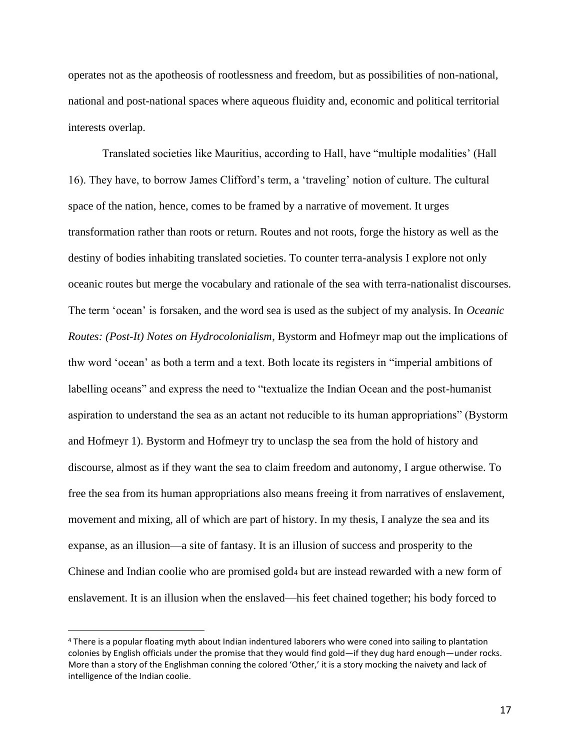operates not as the apotheosis of rootlessness and freedom, but as possibilities of non-national, national and post-national spaces where aqueous fluidity and, economic and political territorial interests overlap.

Translated societies like Mauritius, according to Hall, have "multiple modalities' (Hall 16). They have, to borrow James Clifford's term, a 'traveling' notion of culture. The cultural space of the nation, hence, comes to be framed by a narrative of movement. It urges transformation rather than roots or return. Routes and not roots, forge the history as well as the destiny of bodies inhabiting translated societies. To counter terra-analysis I explore not only oceanic routes but merge the vocabulary and rationale of the sea with terra-nationalist discourses. The term 'ocean' is forsaken, and the word sea is used as the subject of my analysis. In *Oceanic Routes: (Post-It) Notes on Hydrocolonialism*, Bystorm and Hofmeyr map out the implications of thw word 'ocean' as both a term and a text. Both locate its registers in "imperial ambitions of labelling oceans" and express the need to "textualize the Indian Ocean and the post-humanist aspiration to understand the sea as an actant not reducible to its human appropriations" (Bystorm and Hofmeyr 1). Bystorm and Hofmeyr try to unclasp the sea from the hold of history and discourse, almost as if they want the sea to claim freedom and autonomy, I argue otherwise. To free the sea from its human appropriations also means freeing it from narratives of enslavement, movement and mixing, all of which are part of history. In my thesis, I analyze the sea and its expanse, as an illusion—a site of fantasy. It is an illusion of success and prosperity to the Chinese and Indian coolie who are promised gold<sup>4</sup> but are instead rewarded with a new form of enslavement. It is an illusion when the enslaved—his feet chained together; his body forced to

<sup>4</sup> There is a popular floating myth about Indian indentured laborers who were coned into sailing to plantation colonies by English officials under the promise that they would find gold—if they dug hard enough—under rocks. More than a story of the Englishman conning the colored 'Other,' it is a story mocking the naivety and lack of intelligence of the Indian coolie.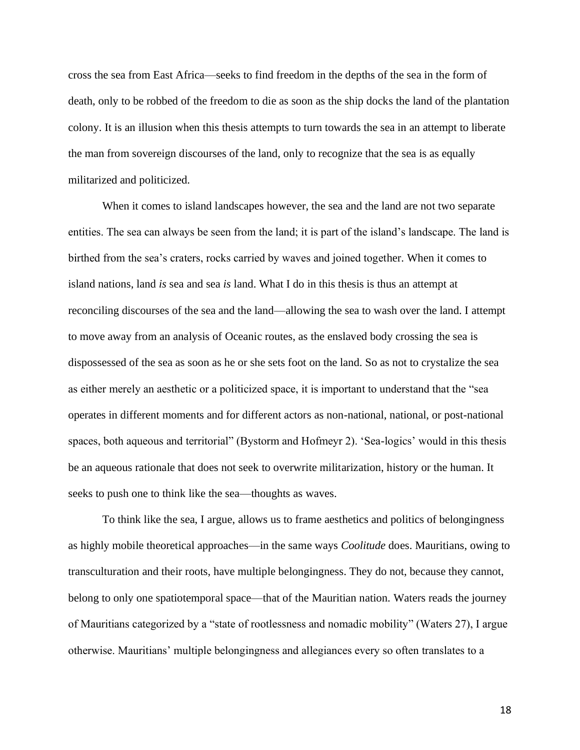cross the sea from East Africa—seeks to find freedom in the depths of the sea in the form of death, only to be robbed of the freedom to die as soon as the ship docks the land of the plantation colony. It is an illusion when this thesis attempts to turn towards the sea in an attempt to liberate the man from sovereign discourses of the land, only to recognize that the sea is as equally militarized and politicized.

When it comes to island landscapes however, the sea and the land are not two separate entities. The sea can always be seen from the land; it is part of the island's landscape. The land is birthed from the sea's craters, rocks carried by waves and joined together. When it comes to island nations, land *is* sea and sea *is* land. What I do in this thesis is thus an attempt at reconciling discourses of the sea and the land—allowing the sea to wash over the land. I attempt to move away from an analysis of Oceanic routes, as the enslaved body crossing the sea is dispossessed of the sea as soon as he or she sets foot on the land. So as not to crystalize the sea as either merely an aesthetic or a politicized space, it is important to understand that the "sea operates in different moments and for different actors as non-national, national, or post-national spaces, both aqueous and territorial" (Bystorm and Hofmeyr 2). 'Sea-logics' would in this thesis be an aqueous rationale that does not seek to overwrite militarization, history or the human. It seeks to push one to think like the sea—thoughts as waves.

To think like the sea, I argue, allows us to frame aesthetics and politics of belongingness as highly mobile theoretical approaches—in the same ways *Coolitude* does. Mauritians, owing to transculturation and their roots, have multiple belongingness. They do not, because they cannot, belong to only one spatiotemporal space—that of the Mauritian nation. Waters reads the journey of Mauritians categorized by a "state of rootlessness and nomadic mobility" (Waters 27), I argue otherwise. Mauritians' multiple belongingness and allegiances every so often translates to a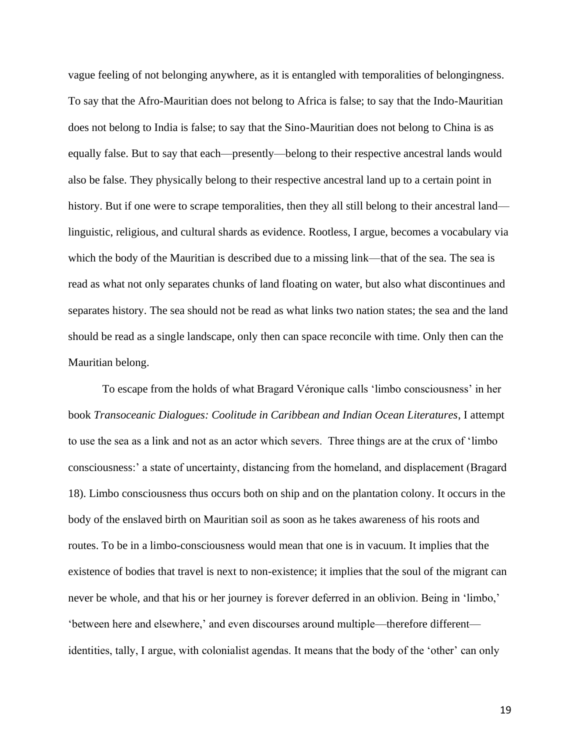vague feeling of not belonging anywhere, as it is entangled with temporalities of belongingness. To say that the Afro-Mauritian does not belong to Africa is false; to say that the Indo-Mauritian does not belong to India is false; to say that the Sino-Mauritian does not belong to China is as equally false. But to say that each—presently—belong to their respective ancestral lands would also be false. They physically belong to their respective ancestral land up to a certain point in history. But if one were to scrape temporalities, then they all still belong to their ancestral land linguistic, religious, and cultural shards as evidence. Rootless, I argue, becomes a vocabulary via which the body of the Mauritian is described due to a missing link—that of the sea. The sea is read as what not only separates chunks of land floating on water, but also what discontinues and separates history. The sea should not be read as what links two nation states; the sea and the land should be read as a single landscape, only then can space reconcile with time. Only then can the Mauritian belong.

To escape from the holds of what Bragard Véronique calls 'limbo consciousness' in her book *Transoceanic Dialogues: Coolitude in Caribbean and Indian Ocean Literatures*, I attempt to use the sea as a link and not as an actor which severs. Three things are at the crux of 'limbo consciousness:' a state of uncertainty, distancing from the homeland, and displacement (Bragard 18). Limbo consciousness thus occurs both on ship and on the plantation colony. It occurs in the body of the enslaved birth on Mauritian soil as soon as he takes awareness of his roots and routes. To be in a limbo-consciousness would mean that one is in vacuum. It implies that the existence of bodies that travel is next to non-existence; it implies that the soul of the migrant can never be whole, and that his or her journey is forever deferred in an oblivion. Being in 'limbo,' 'between here and elsewhere,' and even discourses around multiple—therefore different identities, tally, I argue, with colonialist agendas. It means that the body of the 'other' can only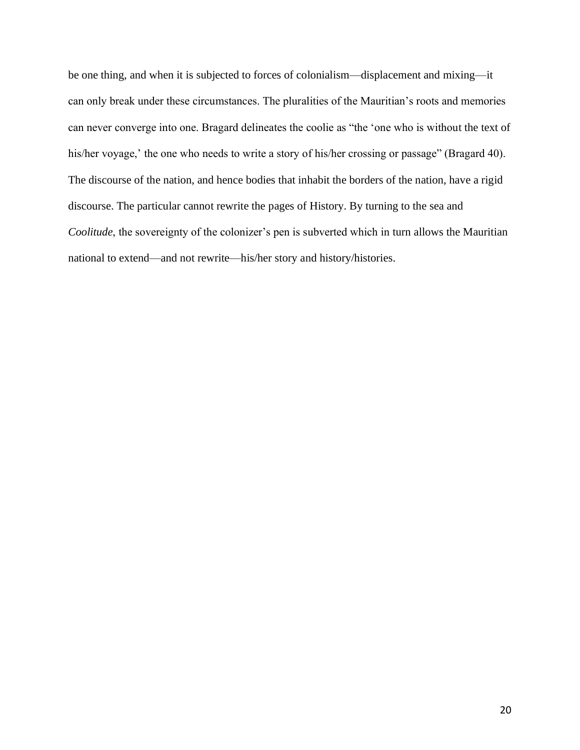be one thing, and when it is subjected to forces of colonialism—displacement and mixing—it can only break under these circumstances. The pluralities of the Mauritian's roots and memories can never converge into one. Bragard delineates the coolie as "the 'one who is without the text of his/her voyage,' the one who needs to write a story of his/her crossing or passage" (Bragard 40). The discourse of the nation, and hence bodies that inhabit the borders of the nation, have a rigid discourse. The particular cannot rewrite the pages of History. By turning to the sea and *Coolitude*, the sovereignty of the colonizer's pen is subverted which in turn allows the Mauritian national to extend—and not rewrite—his/her story and history/histories.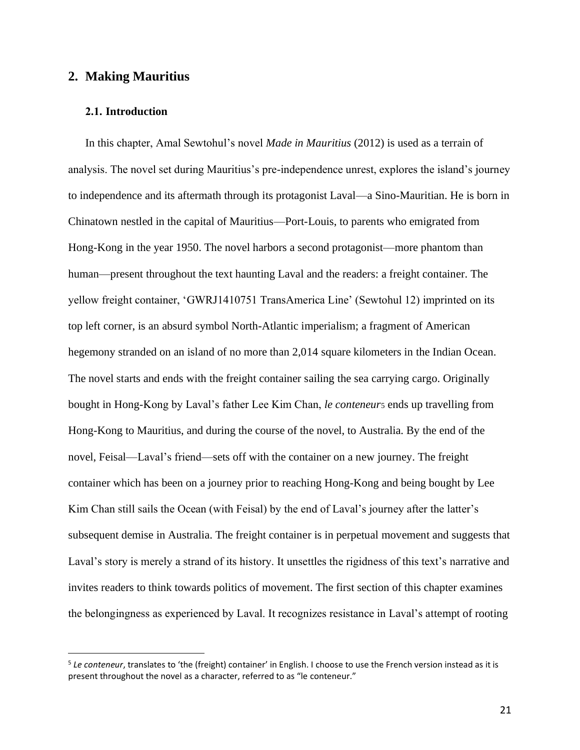# **2. Making Mauritius**

### **2.1. Introduction**

In this chapter, Amal Sewtohul's novel *Made in Mauritius* (2012) is used as a terrain of analysis. The novel set during Mauritius's pre-independence unrest, explores the island's journey to independence and its aftermath through its protagonist Laval—a Sino-Mauritian. He is born in Chinatown nestled in the capital of Mauritius—Port-Louis, to parents who emigrated from Hong-Kong in the year 1950. The novel harbors a second protagonist—more phantom than human—present throughout the text haunting Laval and the readers: a freight container. The yellow freight container, 'GWRJ1410751 TransAmerica Line' (Sewtohul 12) imprinted on its top left corner, is an absurd symbol North-Atlantic imperialism; a fragment of American hegemony stranded on an island of no more than 2,014 square kilometers in the Indian Ocean. The novel starts and ends with the freight container sailing the sea carrying cargo. Originally bought in Hong-Kong by Laval's father Lee Kim Chan, *le conteneur*<sup>5</sup> ends up travelling from Hong-Kong to Mauritius, and during the course of the novel, to Australia. By the end of the novel, Feisal—Laval's friend—sets off with the container on a new journey. The freight container which has been on a journey prior to reaching Hong-Kong and being bought by Lee Kim Chan still sails the Ocean (with Feisal) by the end of Laval's journey after the latter's subsequent demise in Australia. The freight container is in perpetual movement and suggests that Laval's story is merely a strand of its history. It unsettles the rigidness of this text's narrative and invites readers to think towards politics of movement. The first section of this chapter examines the belongingness as experienced by Laval. It recognizes resistance in Laval's attempt of rooting

<sup>5</sup> *Le conteneur*, translates to 'the (freight) container' in English. I choose to use the French version instead as it is present throughout the novel as a character, referred to as "le conteneur."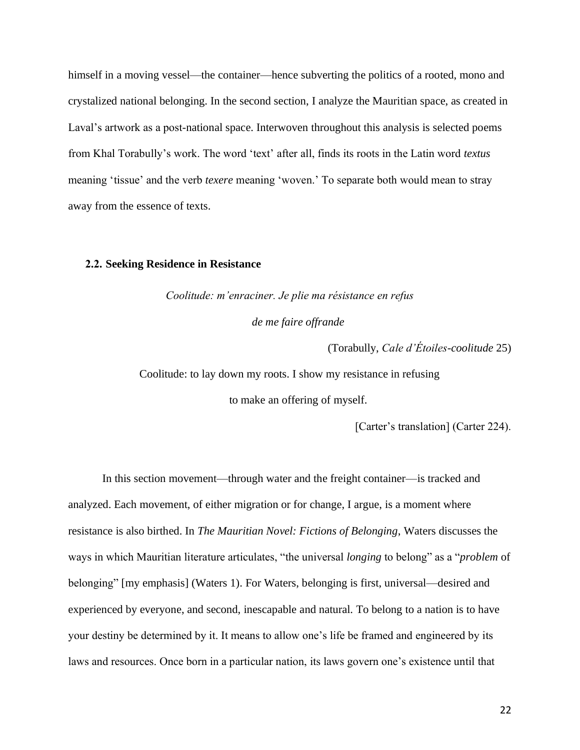himself in a moving vessel—the container—hence subverting the politics of a rooted, mono and crystalized national belonging. In the second section, I analyze the Mauritian space, as created in Laval's artwork as a post-national space. Interwoven throughout this analysis is selected poems from Khal Torabully's work. The word 'text' after all, finds its roots in the Latin word *textus* meaning 'tissue' and the verb *texere* meaning 'woven.' To separate both would mean to stray away from the essence of texts.

#### **2.2. Seeking Residence in Resistance**

*Coolitude: m'enraciner. Je plie ma résistance en refus de me faire offrande*

(Torabully, *Cale d'Étoiles-coolitude* 25)

Coolitude: to lay down my roots. I show my resistance in refusing

to make an offering of myself.

[Carter's translation] (Carter 224).

In this section movement—through water and the freight container—is tracked and analyzed. Each movement, of either migration or for change, I argue, is a moment where resistance is also birthed. In *The Mauritian Novel: Fictions of Belonging*, Waters discusses the ways in which Mauritian literature articulates, "the universal *longing* to belong" as a "*problem* of belonging" [my emphasis] (Waters 1). For Waters, belonging is first, universal—desired and experienced by everyone, and second, inescapable and natural. To belong to a nation is to have your destiny be determined by it. It means to allow one's life be framed and engineered by its laws and resources. Once born in a particular nation, its laws govern one's existence until that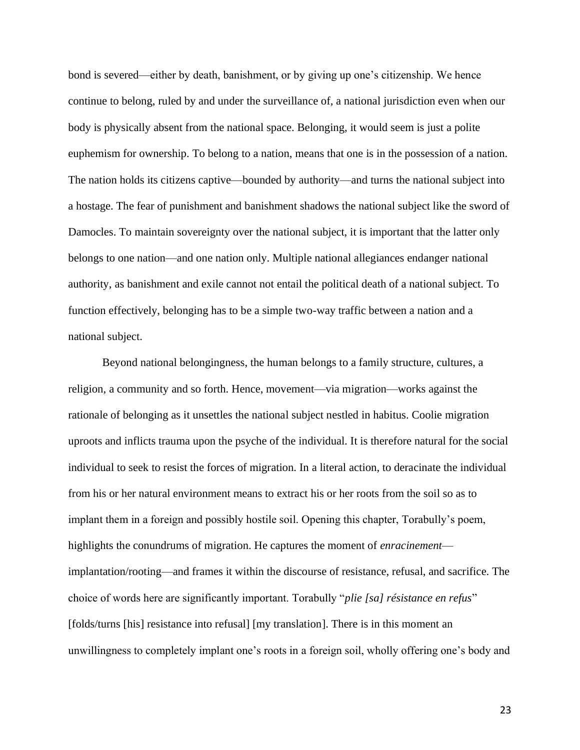bond is severed—either by death, banishment, or by giving up one's citizenship. We hence continue to belong, ruled by and under the surveillance of, a national jurisdiction even when our body is physically absent from the national space. Belonging, it would seem is just a polite euphemism for ownership. To belong to a nation, means that one is in the possession of a nation. The nation holds its citizens captive—bounded by authority—and turns the national subject into a hostage. The fear of punishment and banishment shadows the national subject like the sword of Damocles. To maintain sovereignty over the national subject, it is important that the latter only belongs to one nation—and one nation only. Multiple national allegiances endanger national authority, as banishment and exile cannot not entail the political death of a national subject. To function effectively, belonging has to be a simple two-way traffic between a nation and a national subject.

Beyond national belongingness, the human belongs to a family structure, cultures, a religion, a community and so forth. Hence, movement—via migration—works against the rationale of belonging as it unsettles the national subject nestled in habitus. Coolie migration uproots and inflicts trauma upon the psyche of the individual. It is therefore natural for the social individual to seek to resist the forces of migration. In a literal action, to deracinate the individual from his or her natural environment means to extract his or her roots from the soil so as to implant them in a foreign and possibly hostile soil. Opening this chapter, Torabully's poem, highlights the conundrums of migration. He captures the moment of *enracinement* implantation/rooting—and frames it within the discourse of resistance, refusal, and sacrifice. The choice of words here are significantly important. Torabully "*plie [sa] résistance en refus*" [folds/turns [his] resistance into refusal] [my translation]. There is in this moment an unwillingness to completely implant one's roots in a foreign soil, wholly offering one's body and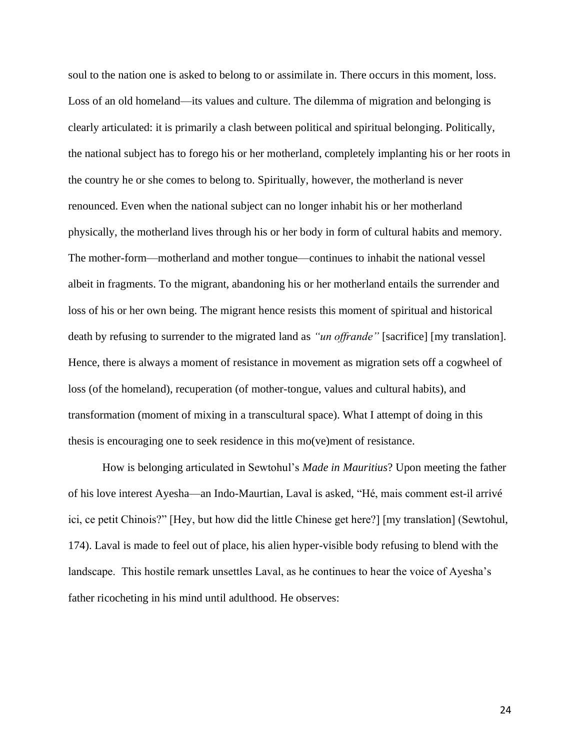soul to the nation one is asked to belong to or assimilate in. There occurs in this moment, loss. Loss of an old homeland—its values and culture. The dilemma of migration and belonging is clearly articulated: it is primarily a clash between political and spiritual belonging. Politically, the national subject has to forego his or her motherland, completely implanting his or her roots in the country he or she comes to belong to. Spiritually, however, the motherland is never renounced. Even when the national subject can no longer inhabit his or her motherland physically, the motherland lives through his or her body in form of cultural habits and memory. The mother-form—motherland and mother tongue—continues to inhabit the national vessel albeit in fragments. To the migrant, abandoning his or her motherland entails the surrender and loss of his or her own being. The migrant hence resists this moment of spiritual and historical death by refusing to surrender to the migrated land as *"un offrande"* [sacrifice] [my translation]. Hence, there is always a moment of resistance in movement as migration sets off a cogwheel of loss (of the homeland), recuperation (of mother-tongue, values and cultural habits), and transformation (moment of mixing in a transcultural space). What I attempt of doing in this thesis is encouraging one to seek residence in this mo(ve)ment of resistance.

How is belonging articulated in Sewtohul's *Made in Mauritius*? Upon meeting the father of his love interest Ayesha—an Indo-Maurtian, Laval is asked, "Hé, mais comment est-il arrivé ici, ce petit Chinois?" [Hey, but how did the little Chinese get here?] [my translation] (Sewtohul, 174). Laval is made to feel out of place, his alien hyper-visible body refusing to blend with the landscape. This hostile remark unsettles Laval, as he continues to hear the voice of Ayesha's father ricocheting in his mind until adulthood. He observes: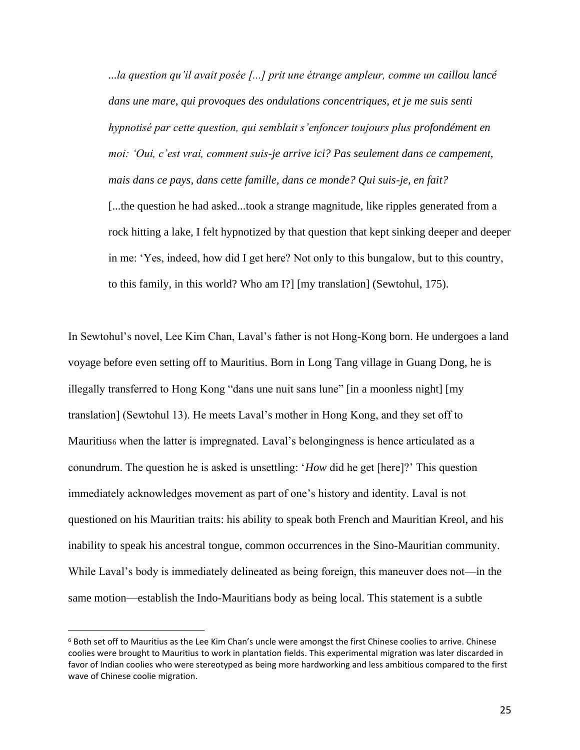*...la question qu'il avait posée [...] prit une étrange ampleur, comme un caillou lancé dans une mare, qui provoques des ondulations concentriques, et je me suis senti hypnotisé par cette question, qui semblait s'enfoncer toujours plus profondément en moi: 'Oui, c'est vrai, comment suis-je arrive ici? Pas seulement dans ce campement, mais dans ce pays, dans cette famille, dans ce monde? Qui suis-je, en fait?* [...the question he had asked...took a strange magnitude, like ripples generated from a rock hitting a lake, I felt hypnotized by that question that kept sinking deeper and deeper in me: 'Yes, indeed, how did I get here? Not only to this bungalow, but to this country, to this family, in this world? Who am I?] [my translation] (Sewtohul, 175).

In Sewtohul's novel, Lee Kim Chan, Laval's father is not Hong-Kong born. He undergoes a land voyage before even setting off to Mauritius. Born in Long Tang village in Guang Dong, he is illegally transferred to Hong Kong "dans une nuit sans lune" [in a moonless night] [my translation] (Sewtohul 13). He meets Laval's mother in Hong Kong, and they set off to Mauritius6 when the latter is impregnated. Laval's belongingness is hence articulated as a conundrum. The question he is asked is unsettling: '*How* did he get [here]?' This question immediately acknowledges movement as part of one's history and identity. Laval is not questioned on his Mauritian traits: his ability to speak both French and Mauritian Kreol, and his inability to speak his ancestral tongue, common occurrences in the Sino-Mauritian community. While Laval's body is immediately delineated as being foreign, this maneuver does not—in the same motion—establish the Indo-Mauritians body as being local. This statement is a subtle

<sup>6</sup> Both set off to Mauritius as the Lee Kim Chan's uncle were amongst the first Chinese coolies to arrive. Chinese coolies were brought to Mauritius to work in plantation fields. This experimental migration was later discarded in favor of Indian coolies who were stereotyped as being more hardworking and less ambitious compared to the first wave of Chinese coolie migration.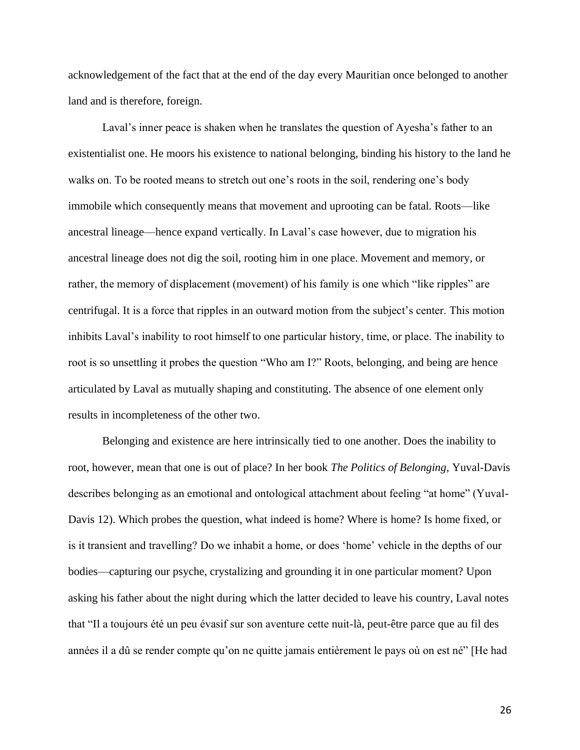acknowledgement of the fact that at the end of the day every Mauritian once belonged to another land and is therefore, foreign.

Laval's inner peace is shaken when he translates the question of Ayesha's father to an existentialist one. He moors his existence to national belonging, binding his history to the land he walks on. To be rooted means to stretch out one's roots in the soil, rendering one's body immobile which consequently means that movement and uprooting can be fatal. Roots—like ancestral lineage—hence expand vertically. In Laval's case however, due to migration his ancestral lineage does not dig the soil, rooting him in one place. Movement and memory, or rather, the memory of displacement (movement) of his family is one which "like ripples" are centrifugal. It is a force that ripples in an outward motion from the subject's center. This motion inhibits Laval's inability to root himself to one particular history, time, or place. The inability to root is so unsettling it probes the question "Who am I?" Roots, belonging, and being are hence articulated by Laval as mutually shaping and constituting. The absence of one element only results in incompleteness of the other two.

Belonging and existence are here intrinsically tied to one another. Does the inability to root, however, mean that one is out of place? In her book *The Politics of Belonging*, Yuval-Davis describes belonging as an emotional and ontological attachment about feeling "at home" (Yuval-Davis 12). Which probes the question, what indeed is home? Where is home? Is home fixed, or is it transient and travelling? Do we inhabit a home, or does 'home' vehicle in the depths of our bodies—capturing our psyche, crystalizing and grounding it in one particular moment? Upon asking his father about the night during which the latter decided to leave his country, Laval notes that "Il a toujours été un peu évasif sur son aventure cette nuit-là, peut-être parce que au fil des années il a dû se render compte qu'on ne quitte jamais entièrement le pays où on est né" [He had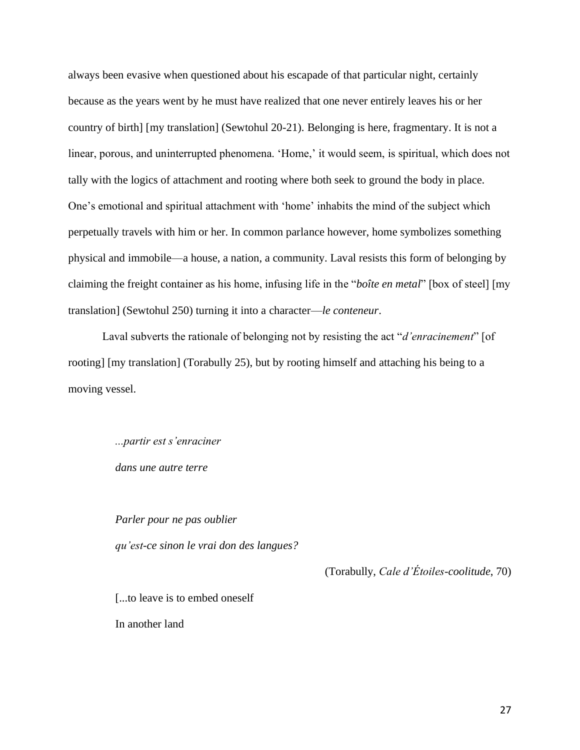always been evasive when questioned about his escapade of that particular night, certainly because as the years went by he must have realized that one never entirely leaves his or her country of birth] [my translation] (Sewtohul 20-21). Belonging is here, fragmentary. It is not a linear, porous, and uninterrupted phenomena. 'Home,' it would seem, is spiritual, which does not tally with the logics of attachment and rooting where both seek to ground the body in place. One's emotional and spiritual attachment with 'home' inhabits the mind of the subject which perpetually travels with him or her. In common parlance however, home symbolizes something physical and immobile—a house, a nation, a community. Laval resists this form of belonging by claiming the freight container as his home, infusing life in the "*boîte en metal*" [box of steel] [my translation] (Sewtohul 250) turning it into a character—*le conteneur*.

Laval subverts the rationale of belonging not by resisting the act "*d'enracinement*" [of rooting] [my translation] (Torabully 25), but by rooting himself and attaching his being to a moving vessel.

> *...partir est s'enraciner dans une autre terre*

*Parler pour ne pas oublier qu'est-ce sinon le vrai don des langues?*

(Torabully, *Cale d'Étoiles-coolitude*, 70)

[...to leave is to embed oneself]

In another land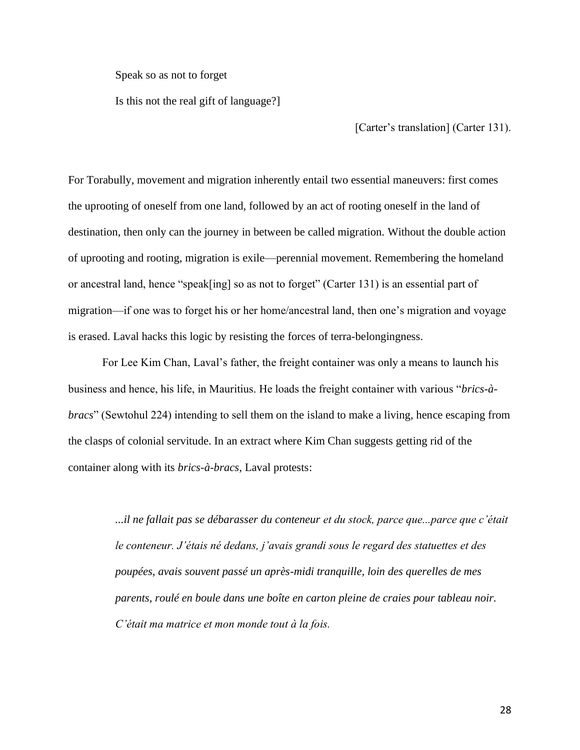Speak so as not to forget

Is this not the real gift of language?]

[Carter's translation] (Carter 131).

For Torabully, movement and migration inherently entail two essential maneuvers: first comes the uprooting of oneself from one land, followed by an act of rooting oneself in the land of destination, then only can the journey in between be called migration. Without the double action of uprooting and rooting, migration is exile—perennial movement. Remembering the homeland or ancestral land, hence "speak[ing] so as not to forget" (Carter 131) is an essential part of migration—if one was to forget his or her home/ancestral land, then one's migration and voyage is erased. Laval hacks this logic by resisting the forces of terra-belongingness.

For Lee Kim Chan, Laval's father, the freight container was only a means to launch his business and hence, his life, in Mauritius. He loads the freight container with various "*brics-àbracs*" (Sewtohul 224) intending to sell them on the island to make a living, hence escaping from the clasps of colonial servitude. In an extract where Kim Chan suggests getting rid of the container along with its *brics-à-bracs,* Laval protests:

> *...il ne fallait pas se débarasser du conteneur et du stock, parce que...parce que c'était le conteneur. J'étais né dedans, j'avais grandi sous le regard des statuettes et des poupées, avais souvent passé un après-midi tranquille, loin des querelles de mes parents, roulé en boule dans une boîte en carton pleine de craies pour tableau noir. C'était ma matrice et mon monde tout à la fois.*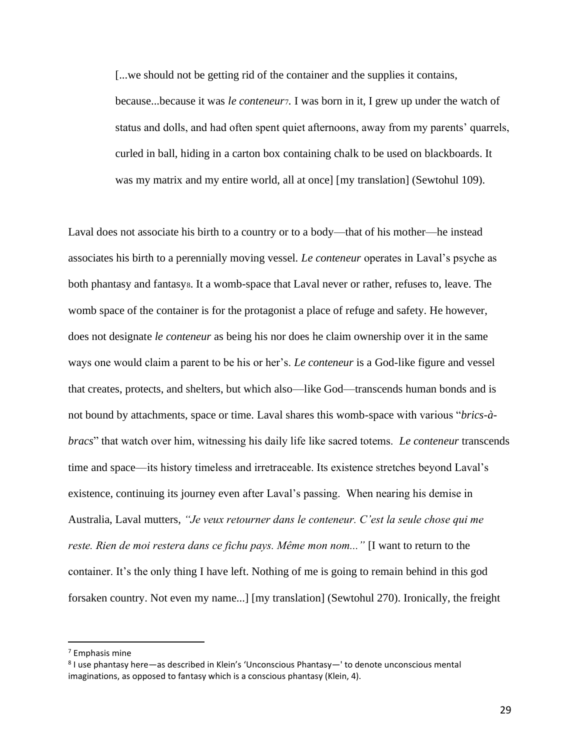[...we should not be getting rid of the container and the supplies it contains, because...because it was *le conteneur*7*.* I was born in it, I grew up under the watch of status and dolls, and had often spent quiet afternoons, away from my parents' quarrels, curled in ball, hiding in a carton box containing chalk to be used on blackboards. It was my matrix and my entire world, all at once] [my translation] (Sewtohul 109).

Laval does not associate his birth to a country or to a body—that of his mother—he instead associates his birth to a perennially moving vessel. *Le conteneur* operates in Laval's psyche as both phantasy and fantasys. It a womb-space that Laval never or rather, refuses to, leave. The womb space of the container is for the protagonist a place of refuge and safety. He however, does not designate *le conteneur* as being his nor does he claim ownership over it in the same ways one would claim a parent to be his or her's. *Le conteneur* is a God-like figure and vessel that creates, protects, and shelters, but which also—like God—transcends human bonds and is not bound by attachments, space or time. Laval shares this womb-space with various "*brics-àbracs*" that watch over him, witnessing his daily life like sacred totems. *Le conteneur* transcends time and space—its history timeless and irretraceable. Its existence stretches beyond Laval's existence, continuing its journey even after Laval's passing. When nearing his demise in Australia, Laval mutters, *"Je veux retourner dans le conteneur. C'est la seule chose qui me reste. Rien de moi restera dans ce fichu pays. Même mon nom..."* [I want to return to the container. It's the only thing I have left. Nothing of me is going to remain behind in this god forsaken country. Not even my name...] [my translation] (Sewtohul 270). Ironically, the freight

<sup>7</sup> Emphasis mine

<sup>8</sup> I use phantasy here—as described in Klein's 'Unconscious Phantasy—' to denote unconscious mental imaginations, as opposed to fantasy which is a conscious phantasy (Klein, 4).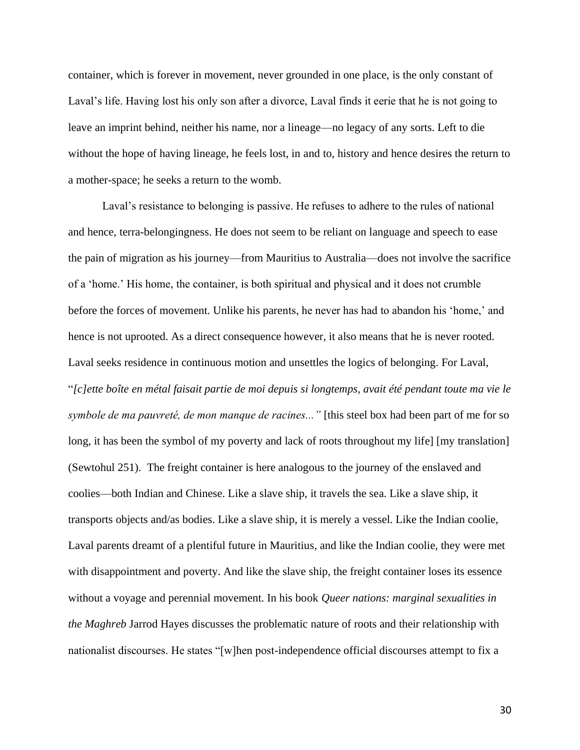container, which is forever in movement, never grounded in one place, is the only constant of Laval's life. Having lost his only son after a divorce, Laval finds it eerie that he is not going to leave an imprint behind, neither his name, nor a lineage—no legacy of any sorts. Left to die without the hope of having lineage, he feels lost, in and to, history and hence desires the return to a mother-space; he seeks a return to the womb.

Laval's resistance to belonging is passive. He refuses to adhere to the rules of national and hence, terra-belongingness. He does not seem to be reliant on language and speech to ease the pain of migration as his journey—from Mauritius to Australia—does not involve the sacrifice of a 'home.' His home, the container, is both spiritual and physical and it does not crumble before the forces of movement. Unlike his parents, he never has had to abandon his 'home,' and hence is not uprooted. As a direct consequence however, it also means that he is never rooted. Laval seeks residence in continuous motion and unsettles the logics of belonging. For Laval, "*[c]ette boîte en métal faisait partie de moi depuis si longtemps, avait été pendant toute ma vie le symbole de ma pauvreté, de mon manque de racines..."* [this steel box had been part of me for so long, it has been the symbol of my poverty and lack of roots throughout my life] [my translation] (Sewtohul 251). The freight container is here analogous to the journey of the enslaved and coolies—both Indian and Chinese. Like a slave ship, it travels the sea. Like a slave ship, it transports objects and/as bodies. Like a slave ship, it is merely a vessel. Like the Indian coolie, Laval parents dreamt of a plentiful future in Mauritius, and like the Indian coolie, they were met with disappointment and poverty. And like the slave ship, the freight container loses its essence without a voyage and perennial movement. In his book *Queer nations: marginal sexualities in the Maghreb* Jarrod Hayes discusses the problematic nature of roots and their relationship with nationalist discourses. He states "[w]hen post-independence official discourses attempt to fix a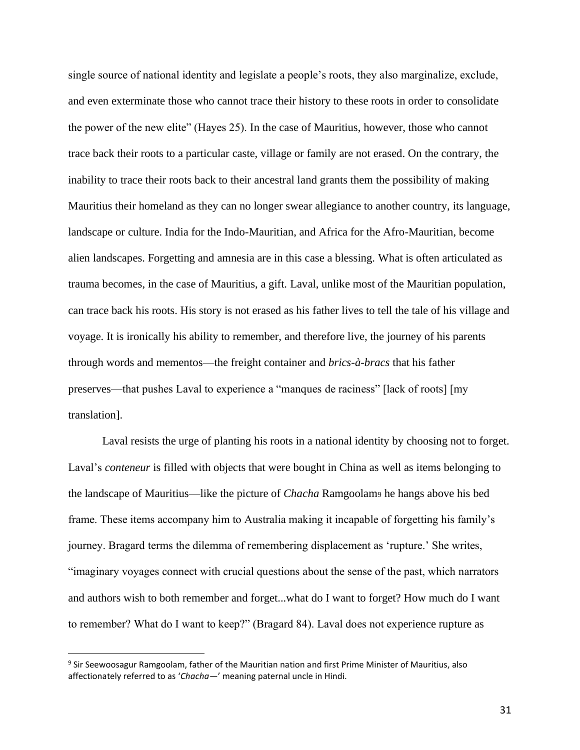single source of national identity and legislate a people's roots, they also marginalize, exclude, and even exterminate those who cannot trace their history to these roots in order to consolidate the power of the new elite" (Hayes 25). In the case of Mauritius, however, those who cannot trace back their roots to a particular caste, village or family are not erased. On the contrary, the inability to trace their roots back to their ancestral land grants them the possibility of making Mauritius their homeland as they can no longer swear allegiance to another country, its language, landscape or culture. India for the Indo-Mauritian, and Africa for the Afro-Mauritian, become alien landscapes. Forgetting and amnesia are in this case a blessing. What is often articulated as trauma becomes, in the case of Mauritius, a gift. Laval, unlike most of the Mauritian population, can trace back his roots. His story is not erased as his father lives to tell the tale of his village and voyage. It is ironically his ability to remember, and therefore live, the journey of his parents through words and mementos—the freight container and *brics-à-bracs* that his father preserves—that pushes Laval to experience a "manques de raciness" [lack of roots] [my translation].

Laval resists the urge of planting his roots in a national identity by choosing not to forget. Laval's *conteneur* is filled with objects that were bought in China as well as items belonging to the landscape of Mauritius—like the picture of *Chacha* Ramgoolam<sup>9</sup> he hangs above his bed frame. These items accompany him to Australia making it incapable of forgetting his family's journey. Bragard terms the dilemma of remembering displacement as 'rupture.' She writes, "imaginary voyages connect with crucial questions about the sense of the past, which narrators and authors wish to both remember and forget...what do I want to forget? How much do I want to remember? What do I want to keep?" (Bragard 84). Laval does not experience rupture as

<sup>9</sup> Sir Seewoosagur Ramgoolam, father of the Mauritian nation and first Prime Minister of Mauritius, also affectionately referred to as '*Chacha*—' meaning paternal uncle in Hindi.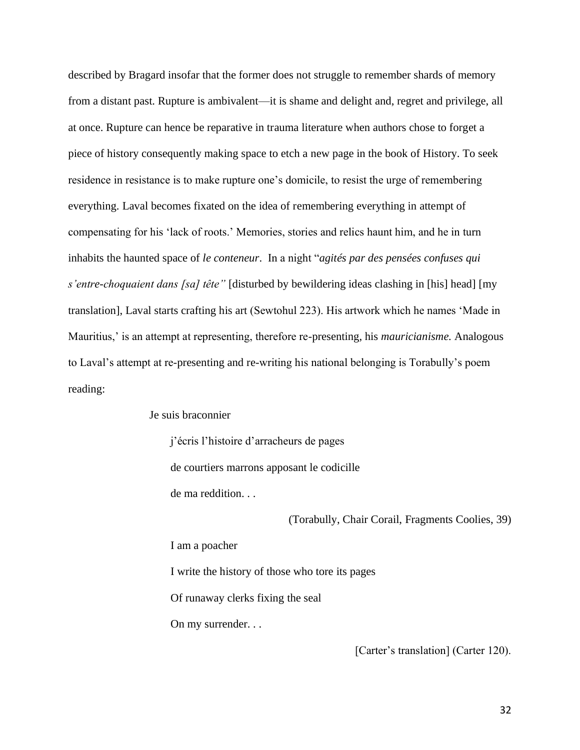described by Bragard insofar that the former does not struggle to remember shards of memory from a distant past. Rupture is ambivalent—it is shame and delight and, regret and privilege, all at once. Rupture can hence be reparative in trauma literature when authors chose to forget a piece of history consequently making space to etch a new page in the book of History. To seek residence in resistance is to make rupture one's domicile, to resist the urge of remembering everything. Laval becomes fixated on the idea of remembering everything in attempt of compensating for his 'lack of roots.' Memories, stories and relics haunt him, and he in turn inhabits the haunted space of *le conteneur*. In a night "*agités par des pensées confuses qui s'entre-choquaient dans [sa] tête"* [disturbed by bewildering ideas clashing in [his] head] [my translation], Laval starts crafting his art (Sewtohul 223). His artwork which he names 'Made in Mauritius,' is an attempt at representing, therefore re-presenting, his *mauricianisme.* Analogous to Laval's attempt at re-presenting and re-writing his national belonging is Torabully's poem reading:

Je suis braconnier

j'écris l'histoire d'arracheurs de pages de courtiers marrons apposant le codicille de ma reddition. . .

(Torabully, Chair Corail, Fragments Coolies, 39)

I am a poacher I write the history of those who tore its pages Of runaway clerks fixing the seal On my surrender. . .

[Carter's translation] (Carter 120).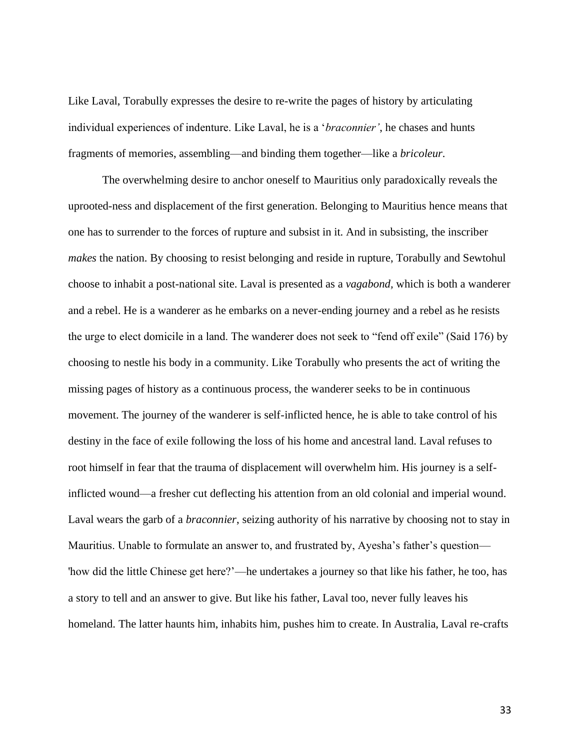Like Laval, Torabully expresses the desire to re-write the pages of history by articulating individual experiences of indenture. Like Laval, he is a '*braconnier'*, he chases and hunts fragments of memories, assembling—and binding them together—like a *bricoleur.* 

The overwhelming desire to anchor oneself to Mauritius only paradoxically reveals the uprooted-ness and displacement of the first generation. Belonging to Mauritius hence means that one has to surrender to the forces of rupture and subsist in it. And in subsisting, the inscriber *makes* the nation. By choosing to resist belonging and reside in rupture, Torabully and Sewtohul choose to inhabit a post-national site. Laval is presented as a *vagabond,* which is both a wanderer and a rebel. He is a wanderer as he embarks on a never-ending journey and a rebel as he resists the urge to elect domicile in a land. The wanderer does not seek to "fend off exile" (Said 176) by choosing to nestle his body in a community. Like Torabully who presents the act of writing the missing pages of history as a continuous process, the wanderer seeks to be in continuous movement. The journey of the wanderer is self-inflicted hence, he is able to take control of his destiny in the face of exile following the loss of his home and ancestral land. Laval refuses to root himself in fear that the trauma of displacement will overwhelm him. His journey is a selfinflicted wound—a fresher cut deflecting his attention from an old colonial and imperial wound. Laval wears the garb of a *braconnier*, seizing authority of his narrative by choosing not to stay in Mauritius. Unable to formulate an answer to, and frustrated by, Ayesha's father's question— 'how did the little Chinese get here?'—he undertakes a journey so that like his father, he too, has a story to tell and an answer to give. But like his father, Laval too, never fully leaves his homeland. The latter haunts him, inhabits him, pushes him to create. In Australia, Laval re-crafts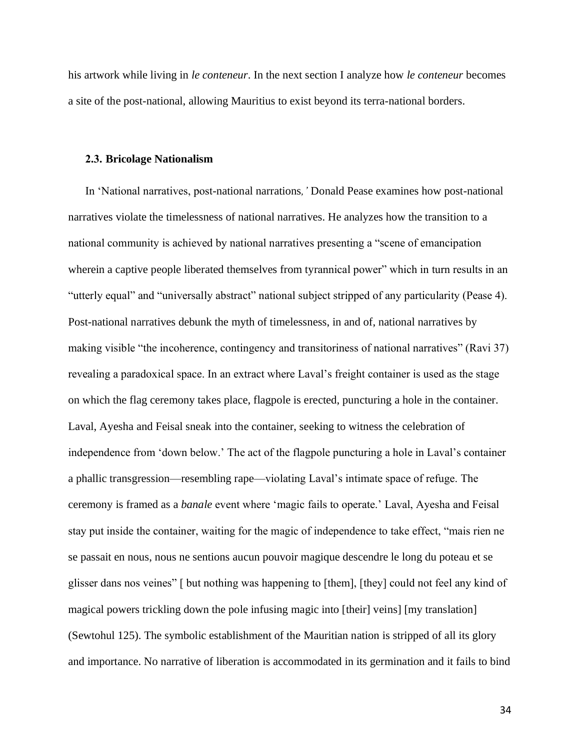his artwork while living in *le conteneur*. In the next section I analyze how *le conteneur* becomes a site of the post-national, allowing Mauritius to exist beyond its terra-national borders.

#### **2.3. Bricolage Nationalism**

In 'National narratives, post-national narrations*,'* Donald Pease examines how post-national narratives violate the timelessness of national narratives. He analyzes how the transition to a national community is achieved by national narratives presenting a "scene of emancipation wherein a captive people liberated themselves from tyrannical power" which in turn results in an "utterly equal" and "universally abstract" national subject stripped of any particularity (Pease 4). Post-national narratives debunk the myth of timelessness, in and of, national narratives by making visible "the incoherence, contingency and transitoriness of national narratives" (Ravi 37) revealing a paradoxical space. In an extract where Laval's freight container is used as the stage on which the flag ceremony takes place, flagpole is erected, puncturing a hole in the container. Laval, Ayesha and Feisal sneak into the container, seeking to witness the celebration of independence from 'down below.' The act of the flagpole puncturing a hole in Laval's container a phallic transgression—resembling rape—violating Laval's intimate space of refuge. The ceremony is framed as a *banale* event where 'magic fails to operate.' Laval, Ayesha and Feisal stay put inside the container, waiting for the magic of independence to take effect, "mais rien ne se passait en nous, nous ne sentions aucun pouvoir magique descendre le long du poteau et se glisser dans nos veines" [ but nothing was happening to [them], [they] could not feel any kind of magical powers trickling down the pole infusing magic into [their] veins] [my translation] (Sewtohul 125). The symbolic establishment of the Mauritian nation is stripped of all its glory and importance. No narrative of liberation is accommodated in its germination and it fails to bind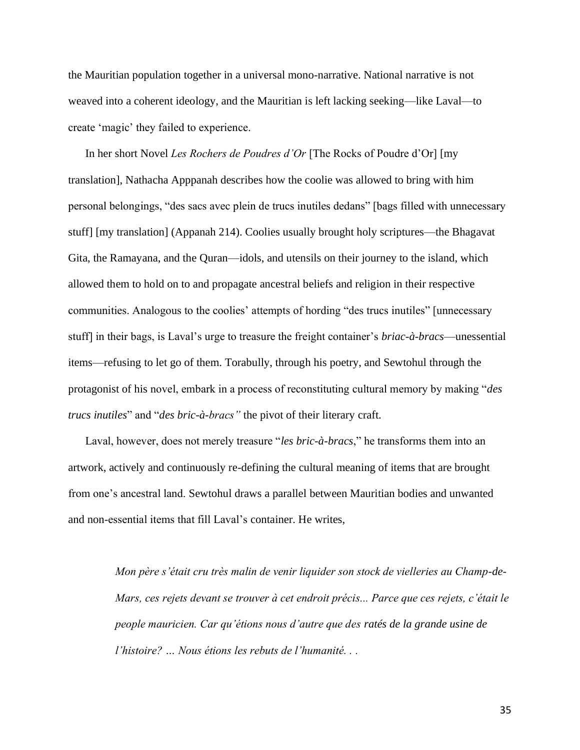the Mauritian population together in a universal mono-narrative. National narrative is not weaved into a coherent ideology, and the Mauritian is left lacking seeking—like Laval—to create 'magic' they failed to experience.

In her short Novel *Les Rochers de Poudres d'Or* [The Rocks of Poudre d'Or] [my translation], Nathacha Apppanah describes how the coolie was allowed to bring with him personal belongings, "des sacs avec plein de trucs inutiles dedans" [bags filled with unnecessary stuff] [my translation] (Appanah 214). Coolies usually brought holy scriptures—the Bhagavat Gita, the Ramayana, and the Quran—idols, and utensils on their journey to the island, which allowed them to hold on to and propagate ancestral beliefs and religion in their respective communities. Analogous to the coolies' attempts of hording "des trucs inutiles" [unnecessary stuff] in their bags, is Laval's urge to treasure the freight container's *briac-à-bracs*—unessential items—refusing to let go of them. Torabully, through his poetry, and Sewtohul through the protagonist of his novel, embark in a process of reconstituting cultural memory by making "*des trucs inutiles*" and "*des bric-à-bracs"* the pivot of their literary craft.

Laval, however, does not merely treasure "*les bric-à-bracs*," he transforms them into an artwork, actively and continuously re-defining the cultural meaning of items that are brought from one's ancestral land. Sewtohul draws a parallel between Mauritian bodies and unwanted and non-essential items that fill Laval's container. He writes,

> *Mon père s'était cru très malin de venir liquider son stock de vielleries au Champ-de-Mars, ces rejets devant se trouver à cet endroit précis... Parce que ces rejets, c'était le people mauricien. Car qu'étions nous d'autre que des ratés de la grande usine de l'histoire? … Nous étions les rebuts de l'humanité. . .*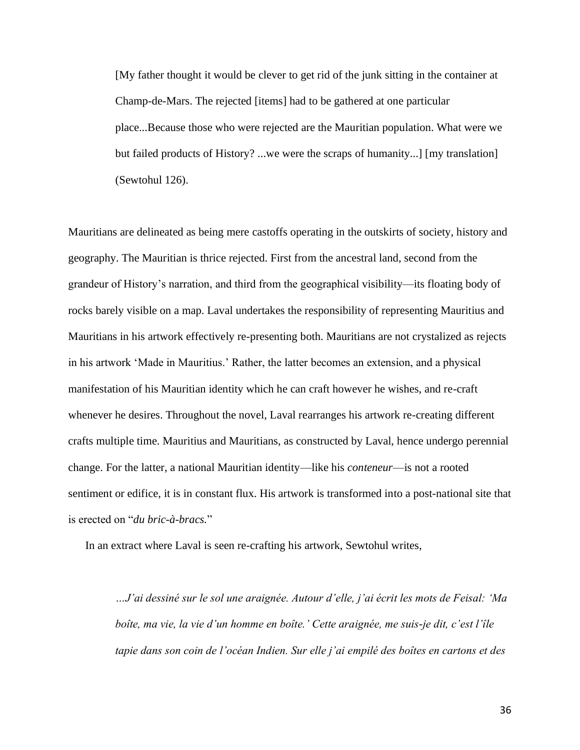[My father thought it would be clever to get rid of the junk sitting in the container at Champ-de-Mars. The rejected [items] had to be gathered at one particular place...Because those who were rejected are the Mauritian population. What were we but failed products of History? ...we were the scraps of humanity...] [my translation] (Sewtohul 126).

Mauritians are delineated as being mere castoffs operating in the outskirts of society, history and geography. The Mauritian is thrice rejected. First from the ancestral land, second from the grandeur of History's narration, and third from the geographical visibility—its floating body of rocks barely visible on a map. Laval undertakes the responsibility of representing Mauritius and Mauritians in his artwork effectively re-presenting both. Mauritians are not crystalized as rejects in his artwork 'Made in Mauritius.' Rather, the latter becomes an extension, and a physical manifestation of his Mauritian identity which he can craft however he wishes, and re-craft whenever he desires. Throughout the novel, Laval rearranges his artwork re-creating different crafts multiple time. Mauritius and Mauritians, as constructed by Laval, hence undergo perennial change. For the latter, a national Mauritian identity—like his *conteneur*—is not a rooted sentiment or edifice, it is in constant flux. His artwork is transformed into a post-national site that is erected on "*du bric-à-bracs.*"

In an extract where Laval is seen re-crafting his artwork, Sewtohul writes,

*…J'ai dessiné sur le sol une araignée. Autour d'elle, j'ai écrit les mots de Feisal: 'Ma boîte, ma vie, la vie d'un homme en boîte.' Cette araignée, me suis-je dit, c'est l'île tapie dans son coin de l'océan Indien. Sur elle j'ai empilé des boîtes en cartons et des*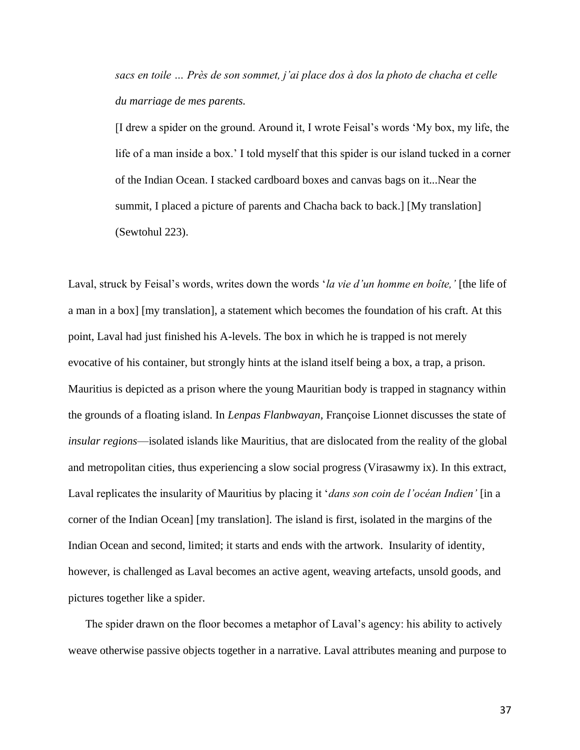*sacs en toile … Près de son sommet, j'ai place dos à dos la photo de chacha et celle du marriage de mes parents.* 

[I drew a spider on the ground. Around it, I wrote Feisal's words 'My box, my life, the life of a man inside a box.' I told myself that this spider is our island tucked in a corner of the Indian Ocean. I stacked cardboard boxes and canvas bags on it...Near the summit, I placed a picture of parents and Chacha back to back.] [My translation] (Sewtohul 223).

Laval, struck by Feisal's words, writes down the words '*la vie d'un homme en boîte,'* [the life of a man in a box] [my translation], a statement which becomes the foundation of his craft. At this point, Laval had just finished his A-levels. The box in which he is trapped is not merely evocative of his container, but strongly hints at the island itself being a box, a trap, a prison. Mauritius is depicted as a prison where the young Mauritian body is trapped in stagnancy within the grounds of a floating island. In *Lenpas Flanbwayan,* Françoise Lionnet discusses the state of *insular regions*—isolated islands like Mauritius, that are dislocated from the reality of the global and metropolitan cities, thus experiencing a slow social progress (Virasawmy ix). In this extract, Laval replicates the insularity of Mauritius by placing it '*dans son coin de l'océan Indien'* [in a corner of the Indian Ocean] [my translation]. The island is first, isolated in the margins of the Indian Ocean and second, limited; it starts and ends with the artwork. Insularity of identity, however, is challenged as Laval becomes an active agent, weaving artefacts, unsold goods, and pictures together like a spider.

The spider drawn on the floor becomes a metaphor of Laval's agency: his ability to actively weave otherwise passive objects together in a narrative. Laval attributes meaning and purpose to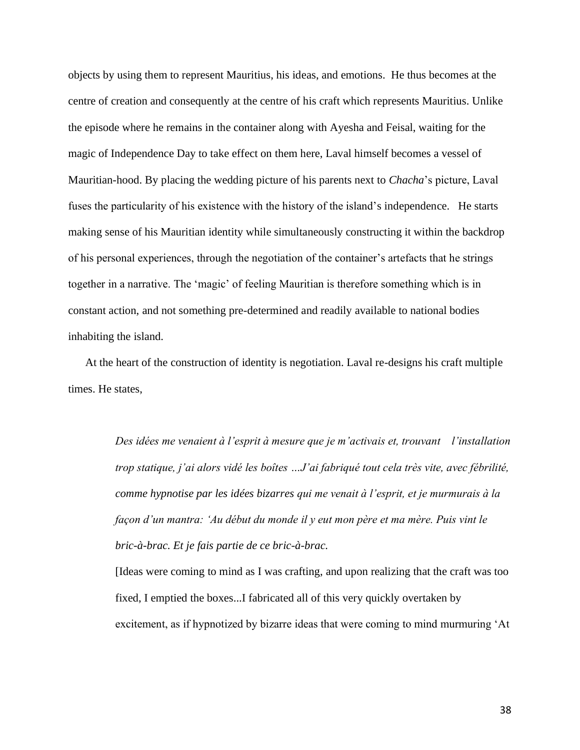objects by using them to represent Mauritius, his ideas, and emotions. He thus becomes at the centre of creation and consequently at the centre of his craft which represents Mauritius. Unlike the episode where he remains in the container along with Ayesha and Feisal, waiting for the magic of Independence Day to take effect on them here, Laval himself becomes a vessel of Mauritian-hood. By placing the wedding picture of his parents next to *Chacha*'s picture, Laval fuses the particularity of his existence with the history of the island's independence. He starts making sense of his Mauritian identity while simultaneously constructing it within the backdrop of his personal experiences, through the negotiation of the container's artefacts that he strings together in a narrative. The 'magic' of feeling Mauritian is therefore something which is in constant action, and not something pre-determined and readily available to national bodies inhabiting the island.

At the heart of the construction of identity is negotiation. Laval re-designs his craft multiple times. He states,

> *Des idées me venaient à l'esprit à mesure que je m'activais et, trouvant l'installation trop statique, j'ai alors vidé les boîtes …J'ai fabriqué tout cela très vite, avec fébrilité, comme hypnotise par les idées bizarres qui me venait à l'esprit, et je murmurais à la façon d'un mantra: 'Au début du monde il y eut mon père et ma mère. Puis vint le bric-à-brac. Et je fais partie de ce bric-à-brac.*

> [Ideas were coming to mind as I was crafting, and upon realizing that the craft was too fixed, I emptied the boxes...I fabricated all of this very quickly overtaken by excitement, as if hypnotized by bizarre ideas that were coming to mind murmuring 'At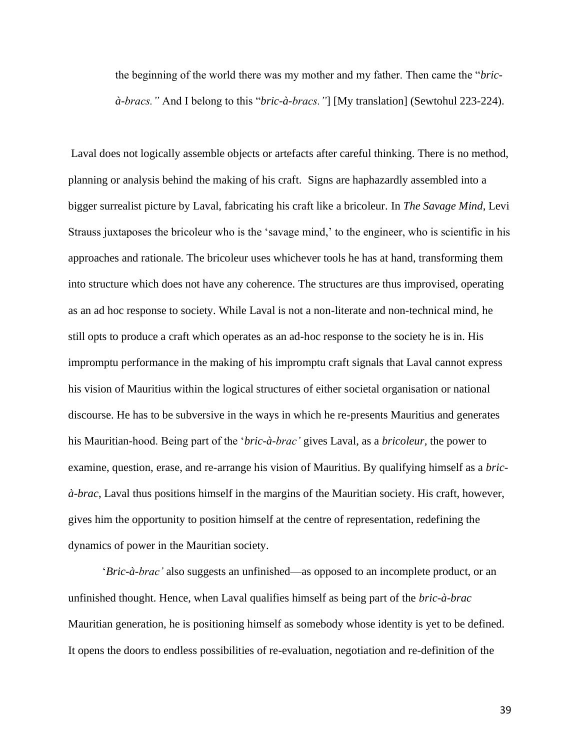the beginning of the world there was my mother and my father. Then came the "*bricà-bracs."* And I belong to this "*bric-à-bracs."*] [My translation] (Sewtohul 223-224).

Laval does not logically assemble objects or artefacts after careful thinking. There is no method, planning or analysis behind the making of his craft. Signs are haphazardly assembled into a bigger surrealist picture by Laval, fabricating his craft like a bricoleur. In *The Savage Mind*, Levi Strauss juxtaposes the bricoleur who is the 'savage mind,' to the engineer, who is scientific in his approaches and rationale. The bricoleur uses whichever tools he has at hand, transforming them into structure which does not have any coherence. The structures are thus improvised, operating as an ad hoc response to society. While Laval is not a non-literate and non-technical mind, he still opts to produce a craft which operates as an ad-hoc response to the society he is in. His impromptu performance in the making of his impromptu craft signals that Laval cannot express his vision of Mauritius within the logical structures of either societal organisation or national discourse. He has to be subversive in the ways in which he re-presents Mauritius and generates his Mauritian-hood. Being part of the '*bric-à-brac'* gives Laval, as a *bricoleur,* the power to examine, question, erase, and re-arrange his vision of Mauritius. By qualifying himself as a *bricà-brac*, Laval thus positions himself in the margins of the Mauritian society. His craft, however, gives him the opportunity to position himself at the centre of representation, redefining the dynamics of power in the Mauritian society.

'*Bric-à-brac'* also suggests an unfinished—as opposed to an incomplete product, or an unfinished thought. Hence, when Laval qualifies himself as being part of the *bric-à-brac*  Mauritian generation, he is positioning himself as somebody whose identity is yet to be defined. It opens the doors to endless possibilities of re-evaluation, negotiation and re-definition of the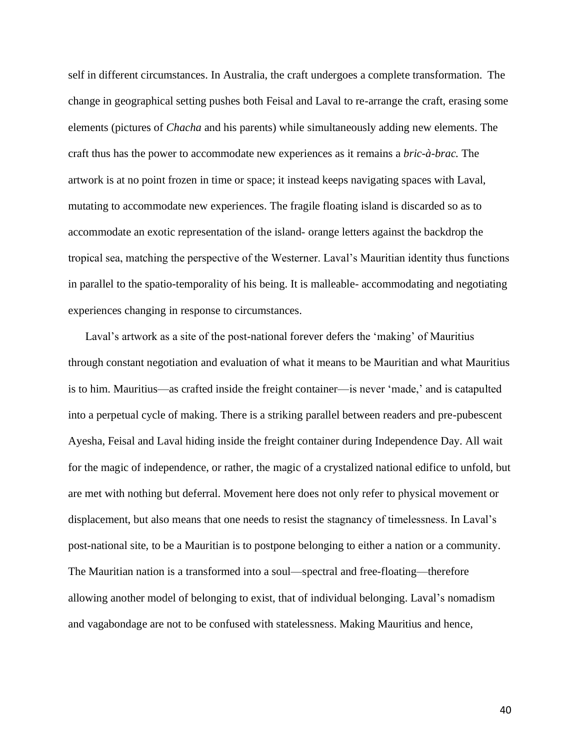self in different circumstances. In Australia, the craft undergoes a complete transformation. The change in geographical setting pushes both Feisal and Laval to re-arrange the craft, erasing some elements (pictures of *Chacha* and his parents) while simultaneously adding new elements. The craft thus has the power to accommodate new experiences as it remains a *bric-à-brac.* The artwork is at no point frozen in time or space; it instead keeps navigating spaces with Laval, mutating to accommodate new experiences. The fragile floating island is discarded so as to accommodate an exotic representation of the island- orange letters against the backdrop the tropical sea, matching the perspective of the Westerner. Laval's Mauritian identity thus functions in parallel to the spatio-temporality of his being. It is malleable- accommodating and negotiating experiences changing in response to circumstances.

Laval's artwork as a site of the post-national forever defers the 'making' of Mauritius through constant negotiation and evaluation of what it means to be Mauritian and what Mauritius is to him. Mauritius—as crafted inside the freight container—is never 'made,' and is catapulted into a perpetual cycle of making. There is a striking parallel between readers and pre-pubescent Ayesha, Feisal and Laval hiding inside the freight container during Independence Day. All wait for the magic of independence, or rather, the magic of a crystalized national edifice to unfold, but are met with nothing but deferral. Movement here does not only refer to physical movement or displacement, but also means that one needs to resist the stagnancy of timelessness. In Laval's post-national site, to be a Mauritian is to postpone belonging to either a nation or a community. The Mauritian nation is a transformed into a soul—spectral and free-floating—therefore allowing another model of belonging to exist, that of individual belonging. Laval's nomadism and vagabondage are not to be confused with statelessness. Making Mauritius and hence,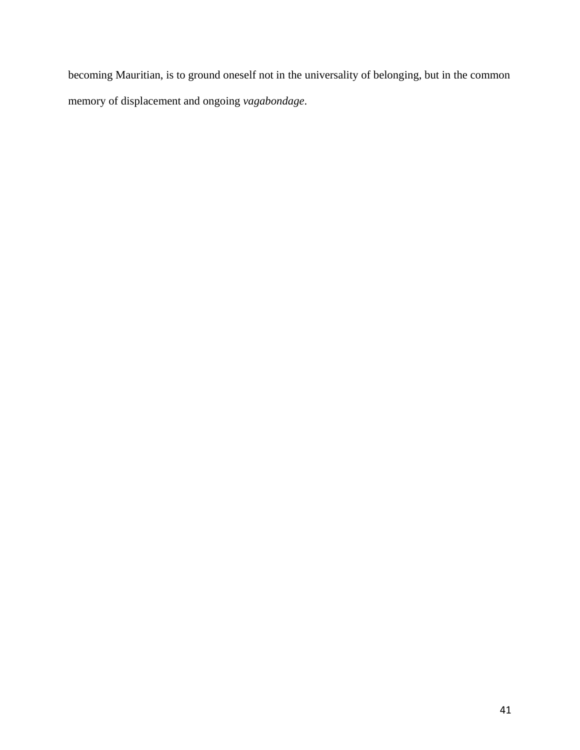becoming Mauritian, is to ground oneself not in the universality of belonging, but in the common memory of displacement and ongoing *vagabondage*.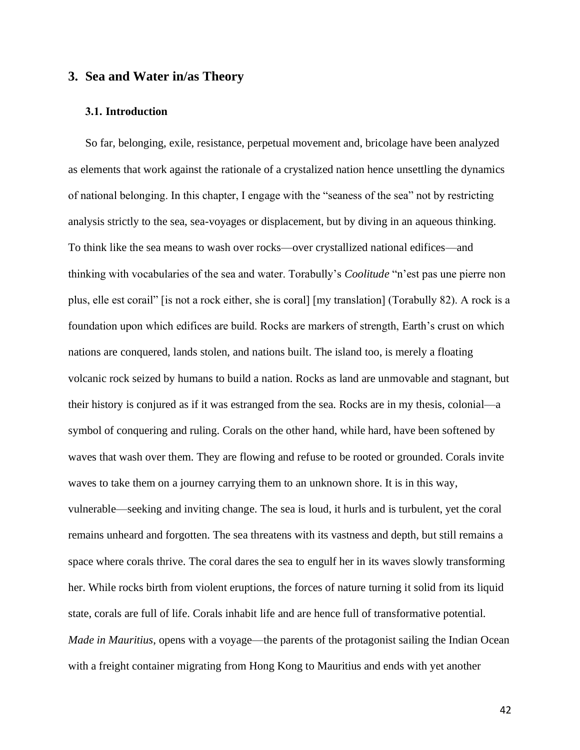## **3. Sea and Water in/as Theory**

### **3.1. Introduction**

So far, belonging, exile, resistance, perpetual movement and, bricolage have been analyzed as elements that work against the rationale of a crystalized nation hence unsettling the dynamics of national belonging. In this chapter, I engage with the "seaness of the sea" not by restricting analysis strictly to the sea, sea-voyages or displacement, but by diving in an aqueous thinking. To think like the sea means to wash over rocks—over crystallized national edifices—and thinking with vocabularies of the sea and water. Torabully's *Coolitude* "n'est pas une pierre non plus, elle est corail" [is not a rock either, she is coral] [my translation] (Torabully 82). A rock is a foundation upon which edifices are build. Rocks are markers of strength, Earth's crust on which nations are conquered, lands stolen, and nations built. The island too, is merely a floating volcanic rock seized by humans to build a nation. Rocks as land are unmovable and stagnant, but their history is conjured as if it was estranged from the sea. Rocks are in my thesis, colonial—a symbol of conquering and ruling. Corals on the other hand, while hard, have been softened by waves that wash over them. They are flowing and refuse to be rooted or grounded. Corals invite waves to take them on a journey carrying them to an unknown shore. It is in this way, vulnerable—seeking and inviting change. The sea is loud, it hurls and is turbulent, yet the coral remains unheard and forgotten. The sea threatens with its vastness and depth, but still remains a space where corals thrive. The coral dares the sea to engulf her in its waves slowly transforming her. While rocks birth from violent eruptions, the forces of nature turning it solid from its liquid state, corals are full of life. Corals inhabit life and are hence full of transformative potential. *Made in Mauritius*, opens with a voyage—the parents of the protagonist sailing the Indian Ocean with a freight container migrating from Hong Kong to Mauritius and ends with yet another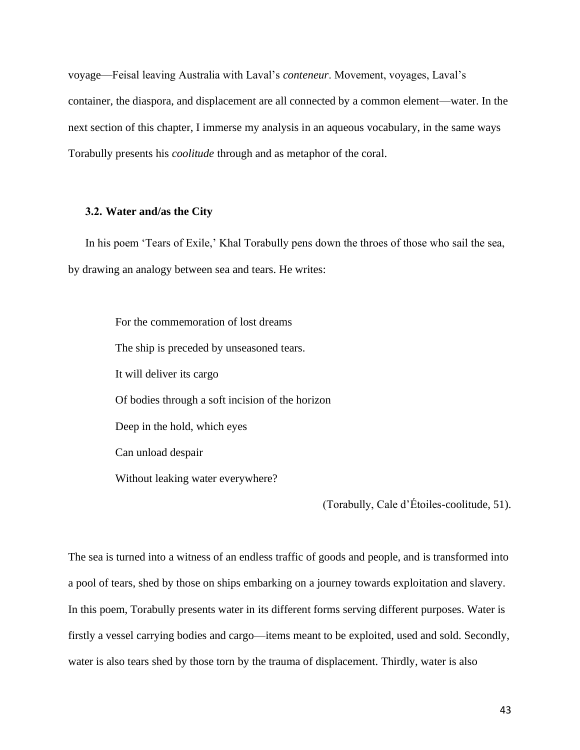voyage—Feisal leaving Australia with Laval's *conteneur*. Movement, voyages, Laval's container, the diaspora, and displacement are all connected by a common element—water. In the next section of this chapter, I immerse my analysis in an aqueous vocabulary, in the same ways Torabully presents his *coolitude* through and as metaphor of the coral.

#### **3.2. Water and/as the City**

In his poem 'Tears of Exile,' Khal Torabully pens down the throes of those who sail the sea, by drawing an analogy between sea and tears. He writes:

For the commemoration of lost dreams The ship is preceded by unseasoned tears. It will deliver its cargo Of bodies through a soft incision of the horizon Deep in the hold, which eyes Can unload despair Without leaking water everywhere?

(Torabully, Cale d'Étoiles-coolitude, 51).

The sea is turned into a witness of an endless traffic of goods and people, and is transformed into a pool of tears, shed by those on ships embarking on a journey towards exploitation and slavery. In this poem, Torabully presents water in its different forms serving different purposes. Water is firstly a vessel carrying bodies and cargo—items meant to be exploited, used and sold. Secondly, water is also tears shed by those torn by the trauma of displacement. Thirdly, water is also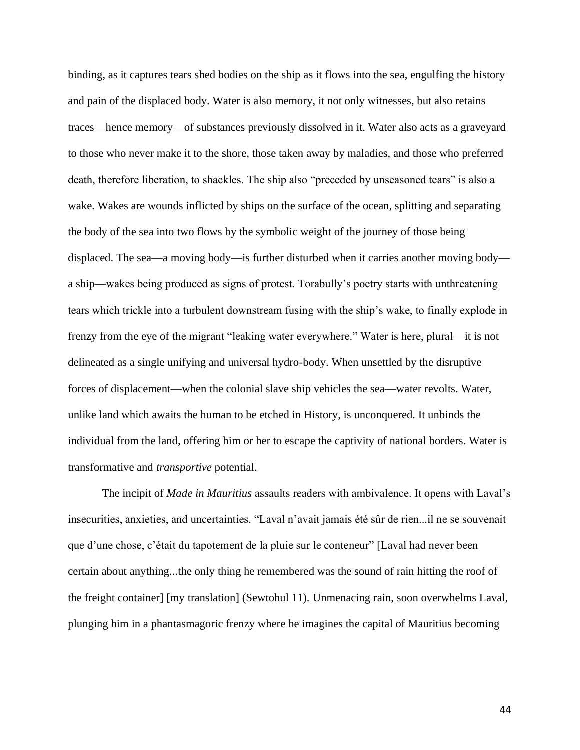binding, as it captures tears shed bodies on the ship as it flows into the sea, engulfing the history and pain of the displaced body. Water is also memory, it not only witnesses, but also retains traces—hence memory—of substances previously dissolved in it. Water also acts as a graveyard to those who never make it to the shore, those taken away by maladies, and those who preferred death, therefore liberation, to shackles. The ship also "preceded by unseasoned tears" is also a wake. Wakes are wounds inflicted by ships on the surface of the ocean, splitting and separating the body of the sea into two flows by the symbolic weight of the journey of those being displaced. The sea—a moving body—is further disturbed when it carries another moving body a ship—wakes being produced as signs of protest. Torabully's poetry starts with unthreatening tears which trickle into a turbulent downstream fusing with the ship's wake, to finally explode in frenzy from the eye of the migrant "leaking water everywhere." Water is here, plural—it is not delineated as a single unifying and universal hydro-body. When unsettled by the disruptive forces of displacement—when the colonial slave ship vehicles the sea—water revolts. Water, unlike land which awaits the human to be etched in History, is unconquered. It unbinds the individual from the land, offering him or her to escape the captivity of national borders. Water is transformative and *transportive* potential.

The incipit of *Made in Mauritius* assaults readers with ambivalence. It opens with Laval's insecurities, anxieties, and uncertainties. "Laval n'avait jamais été sûr de rien...il ne se souvenait que d'une chose, c'était du tapotement de la pluie sur le conteneur" [Laval had never been certain about anything...the only thing he remembered was the sound of rain hitting the roof of the freight container] [my translation] (Sewtohul 11). Unmenacing rain, soon overwhelms Laval, plunging him in a phantasmagoric frenzy where he imagines the capital of Mauritius becoming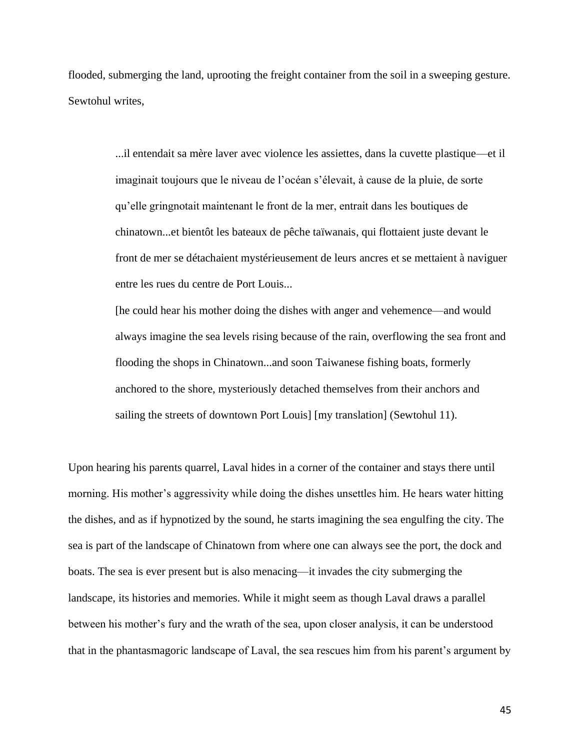flooded, submerging the land, uprooting the freight container from the soil in a sweeping gesture. Sewtohul writes,

> ...il entendait sa mère laver avec violence les assiettes, dans la cuvette plastique—et il imaginait toujours que le niveau de l'océan s'élevait, à cause de la pluie, de sorte qu'elle gringnotait maintenant le front de la mer, entrait dans les boutiques de chinatown...et bientôt les bateaux de pêche taïwanais, qui flottaient juste devant le front de mer se détachaient mystérieusement de leurs ancres et se mettaient à naviguer entre les rues du centre de Port Louis...

> [he could hear his mother doing the dishes with anger and vehemence—and would always imagine the sea levels rising because of the rain, overflowing the sea front and flooding the shops in Chinatown...and soon Taiwanese fishing boats, formerly anchored to the shore, mysteriously detached themselves from their anchors and sailing the streets of downtown Port Louis] [my translation] (Sewtohul 11).

Upon hearing his parents quarrel, Laval hides in a corner of the container and stays there until morning. His mother's aggressivity while doing the dishes unsettles him. He hears water hitting the dishes, and as if hypnotized by the sound, he starts imagining the sea engulfing the city. The sea is part of the landscape of Chinatown from where one can always see the port, the dock and boats. The sea is ever present but is also menacing—it invades the city submerging the landscape, its histories and memories. While it might seem as though Laval draws a parallel between his mother's fury and the wrath of the sea, upon closer analysis, it can be understood that in the phantasmagoric landscape of Laval, the sea rescues him from his parent's argument by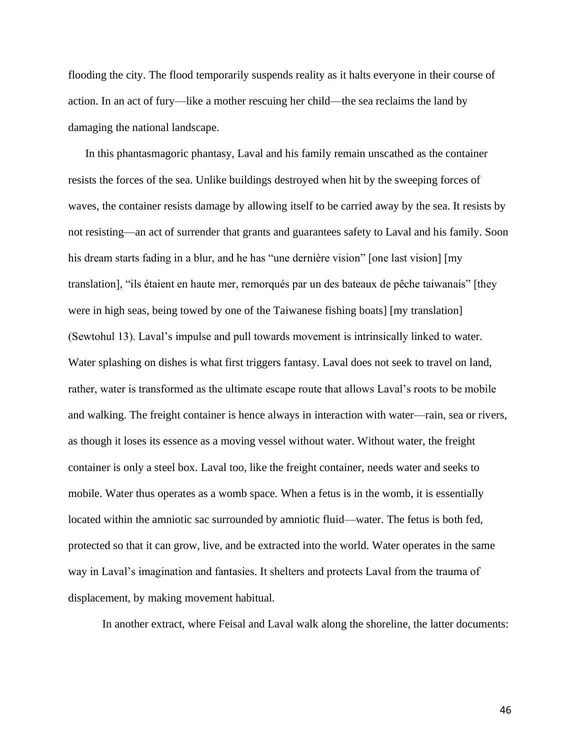flooding the city. The flood temporarily suspends reality as it halts everyone in their course of action. In an act of fury—like a mother rescuing her child—the sea reclaims the land by damaging the national landscape.

In this phantasmagoric phantasy, Laval and his family remain unscathed as the container resists the forces of the sea. Unlike buildings destroyed when hit by the sweeping forces of waves, the container resists damage by allowing itself to be carried away by the sea. It resists by not resisting—an act of surrender that grants and guarantees safety to Laval and his family. Soon his dream starts fading in a blur, and he has "une dernière vision" [one last vision] [my translation], "ils étaient en haute mer, remorqués par un des bateaux de pêche taiwanais" [they were in high seas, being towed by one of the Taiwanese fishing boats] [my translation] (Sewtohul 13). Laval's impulse and pull towards movement is intrinsically linked to water. Water splashing on dishes is what first triggers fantasy. Laval does not seek to travel on land, rather, water is transformed as the ultimate escape route that allows Laval's roots to be mobile and walking. The freight container is hence always in interaction with water—rain, sea or rivers, as though it loses its essence as a moving vessel without water. Without water, the freight container is only a steel box. Laval too, like the freight container, needs water and seeks to mobile. Water thus operates as a womb space. When a fetus is in the womb, it is essentially located within the amniotic sac surrounded by amniotic fluid—water. The fetus is both fed, protected so that it can grow, live, and be extracted into the world. Water operates in the same way in Laval's imagination and fantasies. It shelters and protects Laval from the trauma of displacement, by making movement habitual.

In another extract, where Feisal and Laval walk along the shoreline, the latter documents: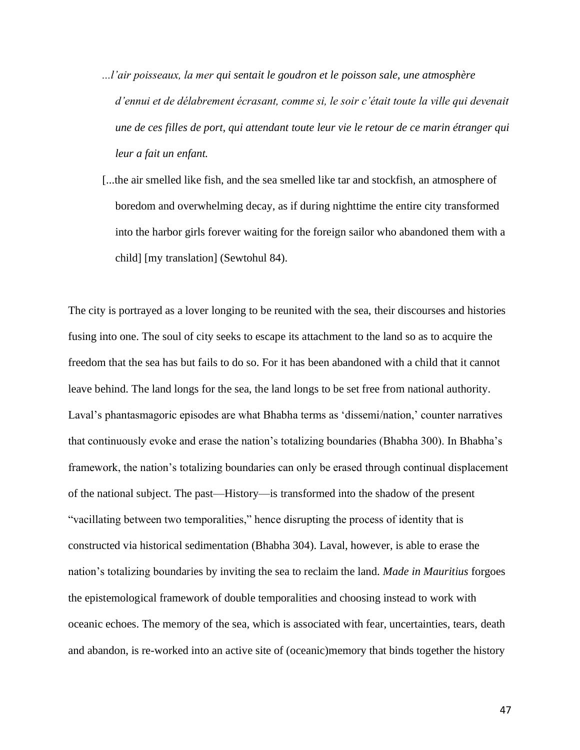- *...l'air poisseaux, la mer qui sentait le goudron et le poisson sale, une atmosphère d'ennui et de délabrement écrasant, comme si, le soir c'était toute la ville qui devenait une de ces filles de port, qui attendant toute leur vie le retour de ce marin étranger qui leur a fait un enfant.*
- [...the air smelled like fish, and the sea smelled like tar and stockfish, an atmosphere of boredom and overwhelming decay, as if during nighttime the entire city transformed into the harbor girls forever waiting for the foreign sailor who abandoned them with a child] [my translation] (Sewtohul 84).

The city is portrayed as a lover longing to be reunited with the sea, their discourses and histories fusing into one. The soul of city seeks to escape its attachment to the land so as to acquire the freedom that the sea has but fails to do so. For it has been abandoned with a child that it cannot leave behind. The land longs for the sea, the land longs to be set free from national authority. Laval's phantasmagoric episodes are what Bhabha terms as 'dissemi/nation,' counter narratives that continuously evoke and erase the nation's totalizing boundaries (Bhabha 300). In Bhabha's framework, the nation's totalizing boundaries can only be erased through continual displacement of the national subject. The past—History—is transformed into the shadow of the present "vacillating between two temporalities," hence disrupting the process of identity that is constructed via historical sedimentation (Bhabha 304). Laval, however, is able to erase the nation's totalizing boundaries by inviting the sea to reclaim the land. *Made in Mauritius* forgoes the epistemological framework of double temporalities and choosing instead to work with oceanic echoes. The memory of the sea, which is associated with fear, uncertainties, tears, death and abandon, is re-worked into an active site of (oceanic)memory that binds together the history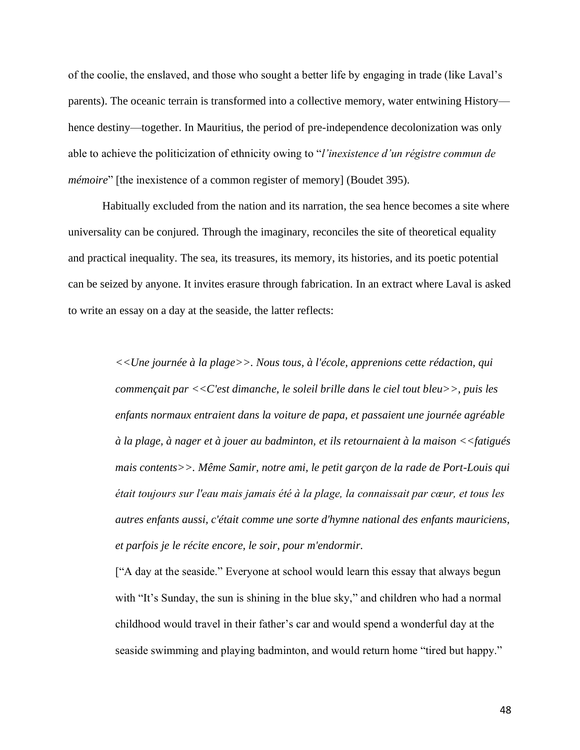of the coolie, the enslaved, and those who sought a better life by engaging in trade (like Laval's parents). The oceanic terrain is transformed into a collective memory, water entwining History hence destiny—together. In Mauritius, the period of pre-independence decolonization was only able to achieve the politicization of ethnicity owing to "*l'inexistence d'un régistre commun de mémoire*" [the inexistence of a common register of memory] (Boudet 395).

Habitually excluded from the nation and its narration, the sea hence becomes a site where universality can be conjured. Through the imaginary, reconciles the site of theoretical equality and practical inequality. The sea, its treasures, its memory, its histories, and its poetic potential can be seized by anyone. It invites erasure through fabrication. In an extract where Laval is asked to write an essay on a day at the seaside, the latter reflects:

> *<<Une journée à la plage>>. Nous tous, à l'école, apprenions cette rédaction, qui commençait par <<C'est dimanche, le soleil brille dans le ciel tout bleu>>, puis les enfants normaux entraient dans la voiture de papa, et passaient une journée agréable à la plage, à nager et à jouer au badminton, et ils retournaient à la maison <<fatigués mais contents>>. Même Samir, notre ami, le petit garçon de la rade de Port-Louis qui était toujours sur l'eau mais jamais été à la plage, la connaissait par cœur, et tous les autres enfants aussi, c'était comme une sorte d'hymne national des enfants mauriciens, et parfois je le récite encore, le soir, pour m'endormir.*

["A day at the seaside." Everyone at school would learn this essay that always begun with "It's Sunday, the sun is shining in the blue sky," and children who had a normal childhood would travel in their father's car and would spend a wonderful day at the seaside swimming and playing badminton, and would return home "tired but happy."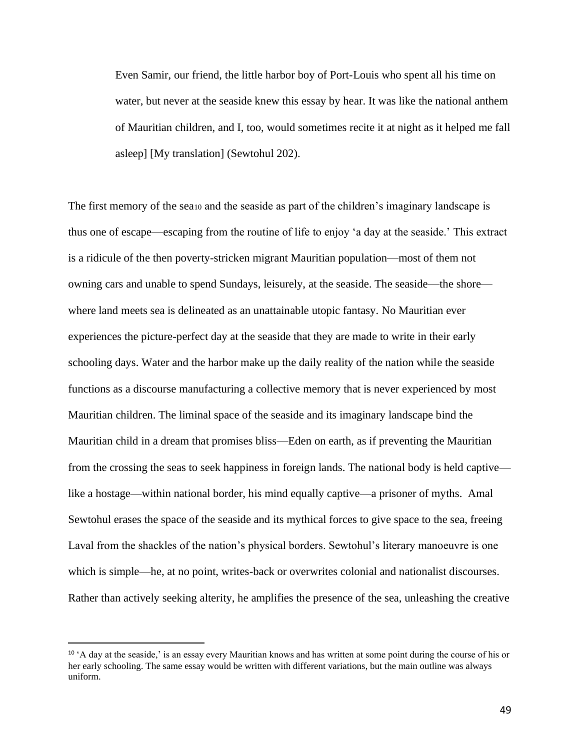Even Samir, our friend, the little harbor boy of Port-Louis who spent all his time on water, but never at the seaside knew this essay by hear. It was like the national anthem of Mauritian children, and I, too, would sometimes recite it at night as it helped me fall asleep] [My translation] (Sewtohul 202).

The first memory of the sea<sup>10</sup> and the seaside as part of the children's imaginary landscape is thus one of escape—escaping from the routine of life to enjoy 'a day at the seaside.' This extract is a ridicule of the then poverty-stricken migrant Mauritian population—most of them not owning cars and unable to spend Sundays, leisurely, at the seaside. The seaside—the shore where land meets sea is delineated as an unattainable utopic fantasy. No Mauritian ever experiences the picture-perfect day at the seaside that they are made to write in their early schooling days. Water and the harbor make up the daily reality of the nation while the seaside functions as a discourse manufacturing a collective memory that is never experienced by most Mauritian children. The liminal space of the seaside and its imaginary landscape bind the Mauritian child in a dream that promises bliss—Eden on earth, as if preventing the Mauritian from the crossing the seas to seek happiness in foreign lands. The national body is held captive like a hostage—within national border, his mind equally captive—a prisoner of myths. Amal Sewtohul erases the space of the seaside and its mythical forces to give space to the sea, freeing Laval from the shackles of the nation's physical borders. Sewtohul's literary manoeuvre is one which is simple—he, at no point, writes-back or overwrites colonial and nationalist discourses. Rather than actively seeking alterity, he amplifies the presence of the sea, unleashing the creative

<sup>&</sup>lt;sup>10</sup> 'A day at the seaside,' is an essay every Mauritian knows and has written at some point during the course of his or her early schooling. The same essay would be written with different variations, but the main outline was always uniform.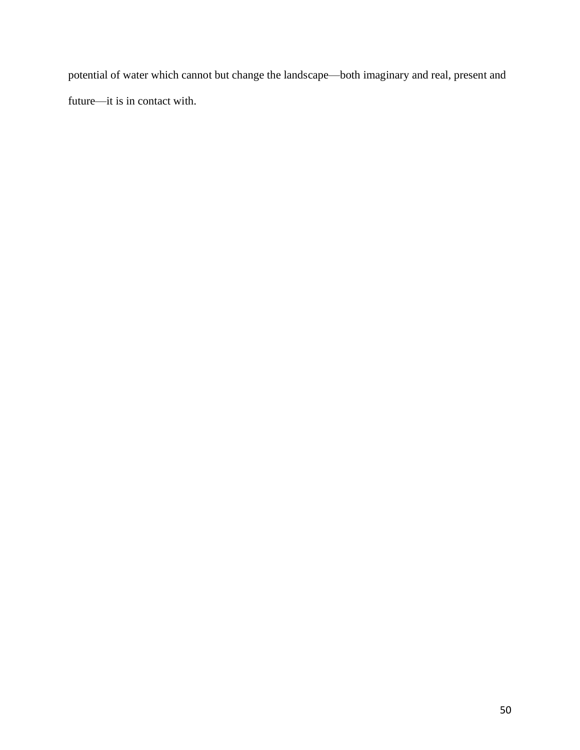potential of water which cannot but change the landscape—both imaginary and real, present and future—it is in contact with.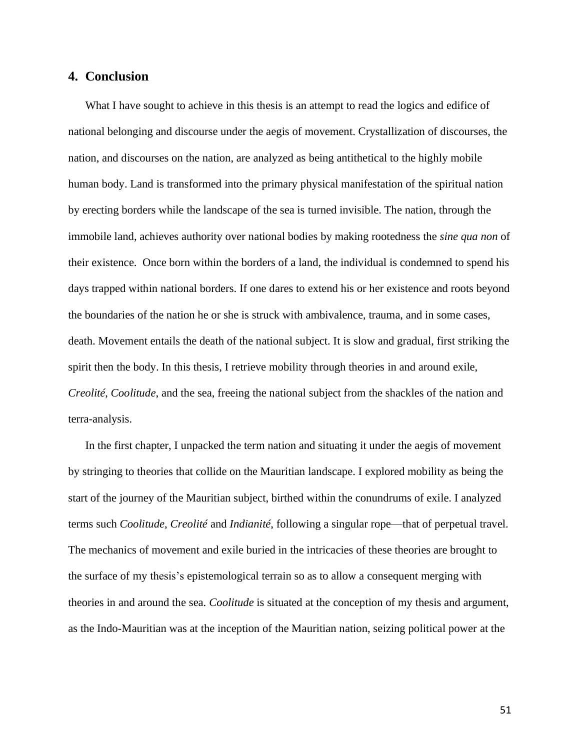## **4. Conclusion**

What I have sought to achieve in this thesis is an attempt to read the logics and edifice of national belonging and discourse under the aegis of movement. Crystallization of discourses, the nation, and discourses on the nation, are analyzed as being antithetical to the highly mobile human body. Land is transformed into the primary physical manifestation of the spiritual nation by erecting borders while the landscape of the sea is turned invisible. The nation, through the immobile land, achieves authority over national bodies by making rootedness the *sine qua non* of their existence. Once born within the borders of a land, the individual is condemned to spend his days trapped within national borders. If one dares to extend his or her existence and roots beyond the boundaries of the nation he or she is struck with ambivalence, trauma, and in some cases, death. Movement entails the death of the national subject. It is slow and gradual, first striking the spirit then the body. In this thesis, I retrieve mobility through theories in and around exile, *Creolité*, *Coolitude*, and the sea, freeing the national subject from the shackles of the nation and terra-analysis.

In the first chapter, I unpacked the term nation and situating it under the aegis of movement by stringing to theories that collide on the Mauritian landscape. I explored mobility as being the start of the journey of the Mauritian subject, birthed within the conundrums of exile. I analyzed terms such *Coolitude*, *Creolité* and *Indianité*, following a singular rope—that of perpetual travel. The mechanics of movement and exile buried in the intricacies of these theories are brought to the surface of my thesis's epistemological terrain so as to allow a consequent merging with theories in and around the sea. *Coolitude* is situated at the conception of my thesis and argument, as the Indo-Mauritian was at the inception of the Mauritian nation, seizing political power at the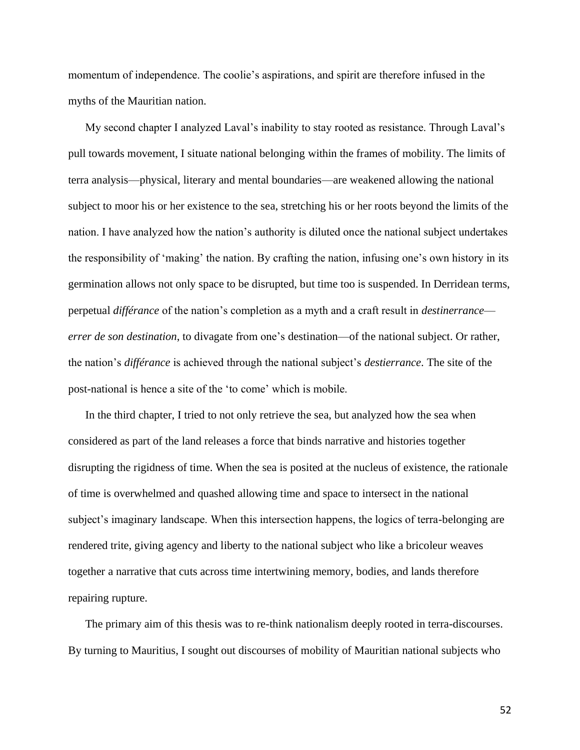momentum of independence. The coolie's aspirations, and spirit are therefore infused in the myths of the Mauritian nation.

My second chapter I analyzed Laval's inability to stay rooted as resistance. Through Laval's pull towards movement, I situate national belonging within the frames of mobility. The limits of terra analysis—physical, literary and mental boundaries—are weakened allowing the national subject to moor his or her existence to the sea, stretching his or her roots beyond the limits of the nation. I have analyzed how the nation's authority is diluted once the national subject undertakes the responsibility of 'making' the nation. By crafting the nation, infusing one's own history in its germination allows not only space to be disrupted, but time too is suspended. In Derridean terms, perpetual *différance* of the nation's completion as a myth and a craft result in *destinerrance errer de son destination*, to divagate from one's destination—of the national subject. Or rather, the nation's *différance* is achieved through the national subject's *destierrance*. The site of the post-national is hence a site of the 'to come' which is mobile.

In the third chapter, I tried to not only retrieve the sea, but analyzed how the sea when considered as part of the land releases a force that binds narrative and histories together disrupting the rigidness of time. When the sea is posited at the nucleus of existence, the rationale of time is overwhelmed and quashed allowing time and space to intersect in the national subject's imaginary landscape. When this intersection happens, the logics of terra-belonging are rendered trite, giving agency and liberty to the national subject who like a bricoleur weaves together a narrative that cuts across time intertwining memory, bodies, and lands therefore repairing rupture.

The primary aim of this thesis was to re-think nationalism deeply rooted in terra-discourses. By turning to Mauritius, I sought out discourses of mobility of Mauritian national subjects who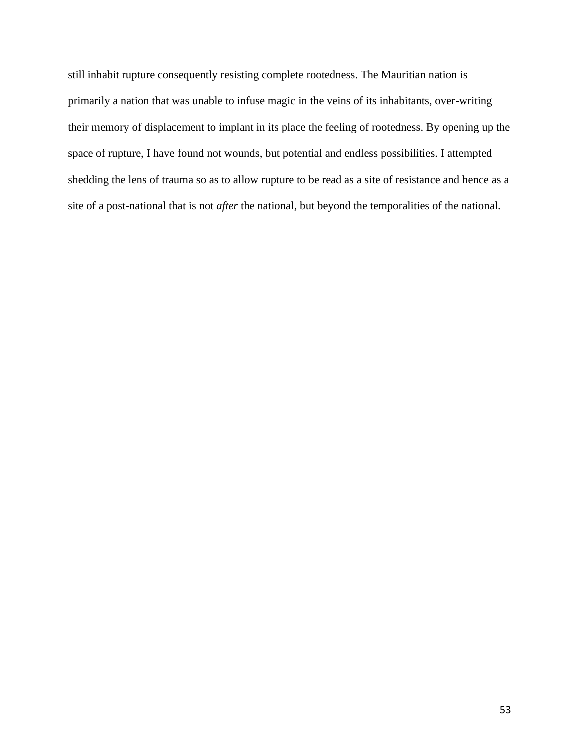still inhabit rupture consequently resisting complete rootedness. The Mauritian nation is primarily a nation that was unable to infuse magic in the veins of its inhabitants, over-writing their memory of displacement to implant in its place the feeling of rootedness. By opening up the space of rupture, I have found not wounds, but potential and endless possibilities. I attempted shedding the lens of trauma so as to allow rupture to be read as a site of resistance and hence as a site of a post-national that is not *after* the national, but beyond the temporalities of the national.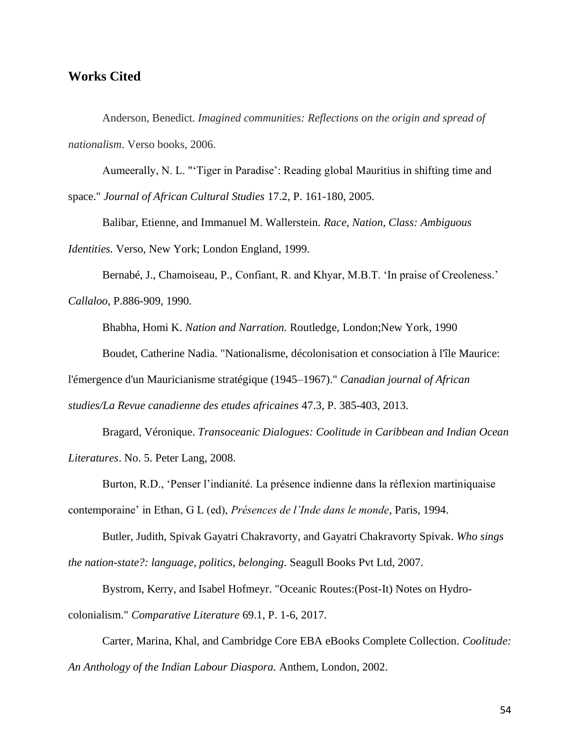# **Works Cited**

Anderson, Benedict. *Imagined communities: Reflections on the origin and spread of nationalism*. Verso books, 2006.

Aumeerally, N. L. "'Tiger in Paradise': Reading global Mauritius in shifting time and space." *Journal of African Cultural Studies* 17.2, P. 161-180, 2005.

Balibar, Etienne, and Immanuel M. Wallerstein. *Race, Nation, Class: Ambiguous Identities.* Verso, New York; London England, 1999.

Bernabé, J., Chamoiseau, P., Confiant, R. and Khyar, M.B.T. 'In praise of Creoleness.' *Callaloo*, P.886-909, 1990.

Bhabha, Homi K. *Nation and Narration*. Routledge, London;New York, 1990

Boudet, Catherine Nadia. "Nationalisme, décolonisation et consociation à l'île Maurice:

l'émergence d'un Mauricianisme stratégique (1945–1967)." *Canadian journal of African* 

*studies/La Revue canadienne des etudes africaines* 47.3, P. 385-403, 2013.

Bragard, Véronique. *Transoceanic Dialogues: Coolitude in Caribbean and Indian Ocean Literatures*. No. 5. Peter Lang, 2008.

Burton, R.D., 'Penser l'indianité. La présence indienne dans la réflexion martiniquaise contemporaine' in Ethan, G L (ed), *Présences de l'Inde dans le monde*, Paris, 1994.

Butler, Judith, Spivak Gayatri Chakravorty, and Gayatri Chakravorty Spivak. *Who sings the nation-state?: language, politics, belonging*. Seagull Books Pvt Ltd, 2007.

Bystrom, Kerry, and Isabel Hofmeyr. "Oceanic Routes:(Post-It) Notes on Hydrocolonialism." *Comparative Literature* 69.1, P. 1-6, 2017.

Carter, Marina, Khal, and Cambridge Core EBA eBooks Complete Collection. *Coolitude: An Anthology of the Indian Labour Diaspora.* Anthem, London, 2002.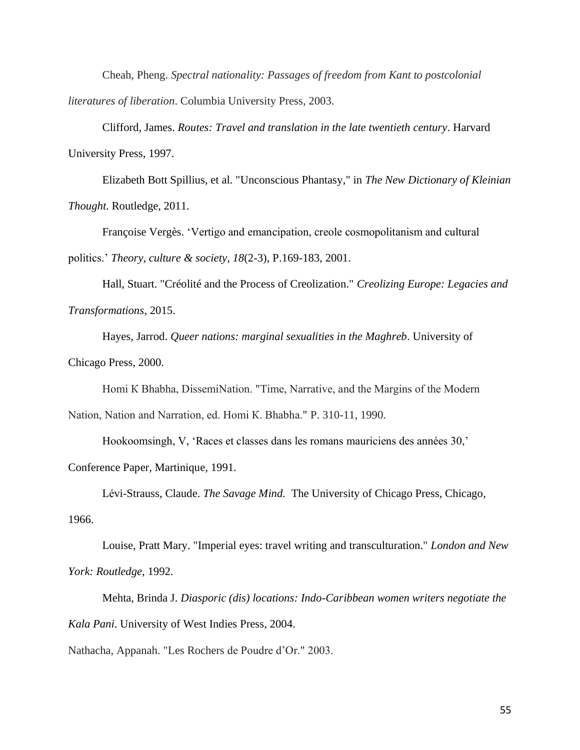Cheah, Pheng. *Spectral nationality: Passages of freedom from Kant to postcolonial literatures of liberation*. Columbia University Press, 2003.

Clifford, James. *Routes: Travel and translation in the late twentieth century*. Harvard University Press, 1997.

Elizabeth Bott Spillius, et al. "Unconscious Phantasy," in *The New Dictionary of Kleinian Thought*. Routledge, 2011.

Françoise Vergès. 'Vertigo and emancipation, creole cosmopolitanism and cultural politics.' *Theory, culture & society*, *18*(2-3), P.169-183, 2001.

Hall, Stuart. "Créolité and the Process of Creolization." *Creolizing Europe: Legacies and Transformations*, 2015.

Hayes, Jarrod. *Queer nations: marginal sexualities in the Maghreb*. University of Chicago Press, 2000.

Homi К Bhabha, DissemiNation. "Time, Narrative, and the Margins of the Modern

Nation, Nation and Narration, ed. Homi К. Bhabha." P. 310-11, 1990.

Hookoomsingh, V, 'Races et classes dans les romans mauriciens des années 30,'

Conference Paper, Martinique, 1991.

Lévi-Strauss, Claude. *The Savage Mind.* The University of Chicago Press, Chicago, 1966.

Louise, Pratt Mary. "Imperial eyes: travel writing and transculturation." *London and New York: Routledge*, 1992.

Mehta, Brinda J. *Diasporic (dis) locations: Indo-Caribbean women writers negotiate the Kala Pani*. University of West Indies Press, 2004.

Nathacha, Appanah. "Les Rochers de Poudre d'Or." 2003.